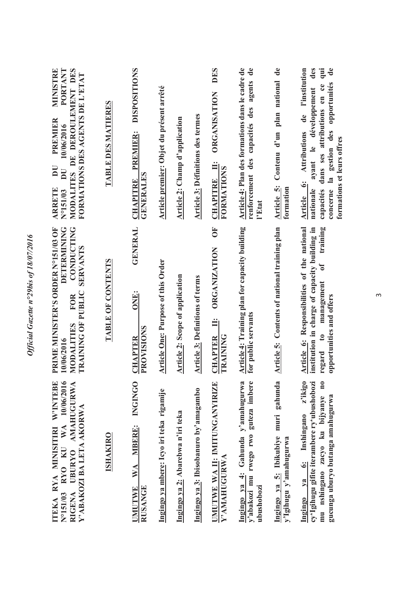| <b>MINISTRE</b><br>PORTANT<br>MODALITES DE DEROULEMENT DES<br>FORMATIONS DES AGENTS DE L'ETAT<br>PREMIER<br>10/06/2016<br>$\overline{\mathbf{D}}$<br>DU<br><b>ARRETE</b><br>N°151/03 | TABLE DES MATIERES | <b>DISPOSITIONS</b><br>PREMIER:<br><b>GENERALES</b><br><b>CHAPITRE</b> | Article premier: Objet du présent arrêté  | Article 2: Champ d'application         | <b>Article 3: Définitions des termes</b> | DES<br>ORGANISATION<br>$\ddot{=}$<br><b>FORMATIONS</b><br>CHAPITRE                | Article 4: Plan des formations dans le cadre de<br>renforcement des capacités des agents de<br>l'Etat | Article 5: Contenu d'un plan national de<br>formation          | des<br>qui<br>$\mathbf{d}\mathbf{e}$<br>de l'institution<br>opportunités<br>capacités dans ses attributions en ce<br>ayant le développement<br><b>Attributions</b><br>concerne la gestion des<br>formations et leurs offres<br>Article 6:<br>nationale |
|--------------------------------------------------------------------------------------------------------------------------------------------------------------------------------------|--------------------|------------------------------------------------------------------------|-------------------------------------------|----------------------------------------|------------------------------------------|-----------------------------------------------------------------------------------|-------------------------------------------------------------------------------------------------------|----------------------------------------------------------------|--------------------------------------------------------------------------------------------------------------------------------------------------------------------------------------------------------------------------------------------------------|
| <b>DETERMINING</b><br><b>CONDUCTING</b><br>PRIME MINISTER'S ORDER N°151/03 OF<br><b>SERVANTS</b><br>TRAINING OF PUBLIC<br><b>FOR</b><br>MODALITIES<br>10/06/2016                     | TABLE OF CONTENTS  | <b>GENERAL</b><br>ONE:<br>PROVISIONS<br><b>CHAPTER</b>                 | <b>Article One: Purpose of this Order</b> | <b>Article 2: Scope of application</b> | <b>Article 3: Definitions of terms</b>   | $\overline{0}$<br><b>ORGANIZATION</b><br>$\ddot{=}$<br><b>CHAPTER</b><br>TRAINING | Article 4: Training plan for capacity building<br>for public servants                                 | Article 5: Contents of national training plan                  | Article 6: Responsibilities of the national<br>institution in charge of capacity building in<br>training<br>$\mathbf{d}$<br>management<br>opportunities and offers<br>$\mathfrak{g}$<br>regard                                                         |
| ITEKA RYA MINISITIRI W'INTEBE<br>N°151/03 RYO KU WA 10/06/2016<br>RIGENA UBURYO AMAHUGURWA<br>Y' ABAKOZI BA LETA AKORWA                                                              | <b>ISHAKIRO</b>    | <b>INGINGO</b><br>WA MBERE:<br><b>RUSANGE</b><br><b>UMUTWE</b>         | Ingingo ya mbere: Icyo iri teka rigamije  | Ingingo ya 2: Abarebwa n'iri teka      | Ingingo ya 3: Ibisobanuro by'amagambo    | UMUTWE WA II: IMITUNGANYIRIZE<br>Y'AMAHUGURWA                                     | Ingingo ya 4: Gahunda y'amahugurwa<br>y'abakozi mu rwego rwo guteza imbere<br>ubushobozi              | Ingingo ya 5: Ibikubiye muri gahunda<br>y'lgihugu y'amahugurwa | z'ikigo<br>cy'Igihugu gifite iterambere ry'ubushobozi<br>mu nshingano zacyo ku bijyanye no<br>gucunga uburyo butanga amahugurwa<br>Inshingano<br>Ingingo ya 6:                                                                                         |

 $\infty$ 

*Official Gazette n°29bis of 18/07/2016* 

Official Gazette n°29bis of 18/07/2016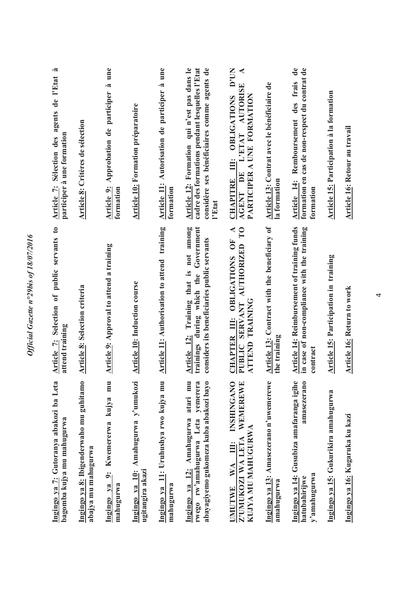| Ingingo ya 7: Gutoranya abakozi ba Leta<br>bagomba kujya mu mahugurwa                                                   | Article 7: Selection of public servants to<br>attend training                                                                            | Article 7: Sélection des agents de l'Etat à<br>participer à une formation                                                                              |
|-------------------------------------------------------------------------------------------------------------------------|------------------------------------------------------------------------------------------------------------------------------------------|--------------------------------------------------------------------------------------------------------------------------------------------------------|
| Ingingo ya 8: Ibigenderwaho mu guhitamo<br>abajya mu mahugurwa                                                          | <b>Article 8: Selection criteria</b>                                                                                                     | Article 8: Critères de sélection                                                                                                                       |
| Ingingo ya 9: Kwemererwa kujya mu<br>mahugurwa                                                                          | <b>Article 9: Approval to attend a training</b>                                                                                          | une<br>Article 9: Approbation de participer à<br>formation                                                                                             |
| Ingingo ya 10: Amahugurwa y'umukozi<br>ugitangira akazi                                                                 | Article 10: Induction course                                                                                                             | <b>Article 10: Formation préparatoire</b>                                                                                                              |
| Ingingo ya 11: Uruhushya rwo kujya mu<br>mahugurwa                                                                      | Article 11: Authorisation to attend training                                                                                             | Article 11: Autorisation de participer à une<br>formation                                                                                              |
| atari mu<br>yemerera<br>abayagiyemo gukomeza kuba abakozi bayo<br>rwego rw'amahugurwa Leta<br>Ingingo ya 12: Amahugurwa | Training that is not among<br>trainings during which the Government<br>considers its beneficiaries public servants<br><b>Article 12:</b> | Article 12: Formation qui n'est pas dans le<br>considère ses bénéficiaires comme agents de<br>cadre des formations pendant lesquelles l'Etat<br>l'Etat |
| <b>INSHINGANO</b><br>WEMEREWE<br>KUJYA MU MAHUGURWA<br>Z'UMUKOZI WA LETA<br>WA III:<br><b>UMUTWE</b>                    | CHAPTER III: OBLIGATIONS OF A<br>PUBLIC SERVANT AUTHORIZED TO<br>ATTEND TRAINING                                                         | CHAPITRE III: OBLIGATIONS D'UN<br>◀<br>AGENT DE L'ETAT AUTORISE<br>PARTICIPER A UNE FORMATION                                                          |
| Ingingo ya 13: Amasezerano n'uwemerewe<br>amahugurwa                                                                    | Article 13: Contract with the beneficiary of<br>the training                                                                             | Article 13: Contrat avec le bénéficiaire de<br>la formation                                                                                            |
| Ingingo ya 14: Gusubiza amafaranga igihe<br>amasezerano<br>y'amahugurwa<br>hatubahirijwe                                | <b>Article 14: Reimbursement of training funds</b><br>in case of non-compliance with the training<br>contract                            | Article 14: Remboursement des frais de<br>formation en cas de non-respect du contrat de<br>formation                                                   |
| Ingingo ya 15: Gukurikira amahugurwa                                                                                    | Article 15: Participation in training                                                                                                    | Article 15: Participation à la formation                                                                                                               |
| Ingingo ya 16: Kugaruka ku kazi                                                                                         | <b>Article 16: Return to work</b>                                                                                                        | Article 16: Retour au travail                                                                                                                          |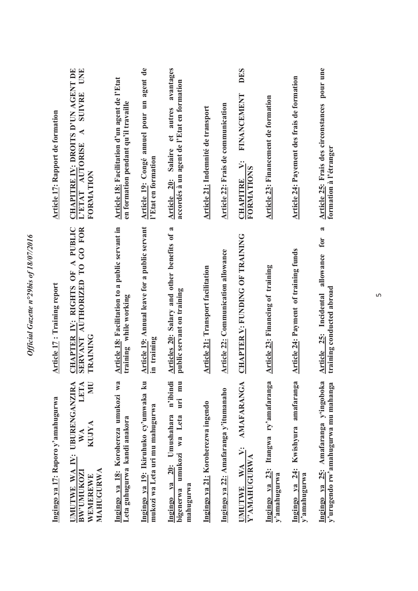| Ingingo ya 17: Raporo y'amahugurwa                                                                            | <b>Article 17: Training report</b>                                                | <b>Article 17: Rapport de formation</b>                                                                            |
|---------------------------------------------------------------------------------------------------------------|-----------------------------------------------------------------------------------|--------------------------------------------------------------------------------------------------------------------|
| <b>JMUTWE WA IY: UBURENGANZIRA</b><br>LETA<br>NU<br>KUJYA<br>WA<br>MAHUGURWA<br><b>BW'UMUKOZI</b><br>WEMEREWE | CHAPTER IV: RIGHTS OF A PUBLIC<br>SERVANT AUTHORIZED TO GO FOR<br><b>TRAINING</b> | CHAPITRE IV: DROITS D'UN AGENT DE<br>UNE<br><b>SUIVRE</b><br>∢<br>L'ETAT AUTORISE<br>FORMATION                     |
| Ingingo ya 18: Korohereza umukozi wa<br>Leta guhugurwa kandi anakora                                          | Article 18: Facilitation to a public servant in<br>training while working         | Article 18: Facilitation d'un agent de l'Etat<br>en formation pendant qu'il travaille                              |
| Ingingo ya 19: Ikiruhuko cy'umwaka ku<br>mukozi wa Leta uri mu mahugurwa                                      | Article 19: Annual leave for a public servant<br>in training                      | Article 19: Congé annuel pour un agent de<br>l'Etat en formation                                                   |
| n'ibindi<br>uri mu<br>Ingingo ya 20: Umushahara<br>bigenerwa umukozi wa Leta<br>mahugurwa                     | Articles 20: Salary and other benefits of a<br>public servant on training         | avantages<br>accordés à un agent de l'Etat en formation<br>autres<br>$\mathbf{d}$<br><b>Salaire</b><br>Article 20: |
| Ingingo ya 21: Koroherezwa ingendo                                                                            | <b>Article 21: Transport facilitation</b>                                         | Article 21: Indemnité de transport                                                                                 |
| Ingingo ya 22: Amafaranga y'itumanaho                                                                         | <b>Article 22: Communication allowance</b>                                        | Article 22: Frais de communication                                                                                 |
| <b>AMAFARANGA</b><br>$\ddot{z}$<br>Y'AMAHUGURWA<br>$\mathbb{N}$<br><b>UMUTWE</b>                              | <b>CHAPTER V: FUNDING OF TRAINING</b>                                             | DES<br>FINANCEMENT<br>اند<br>ا<br>FORMATIONS<br><b>CHAPITRE</b>                                                    |
| Ingingo ya 23: Itangwa ry'amafaranga<br>y'amahugurwa                                                          | Article 23: Financing of training                                                 | Article 23: Financement de formation                                                                               |
| Ingingo ya 24: Kwishyura amafaranga<br>y'amahugurwa                                                           | Article 24: Payment of training funds                                             | Article 24: Payement des frais de formation                                                                        |
| Ingingo ya 25: Amafaranga y'ingoboka<br>y'urugendo rw'amahugurwa mu mahanga                                   | $\approx$<br>allowance for<br>training conducted abroad<br>Article 25: Incidental | Article 25: Frais des circonstances pour une<br>formation à l'étranger                                             |

 $\overline{5}$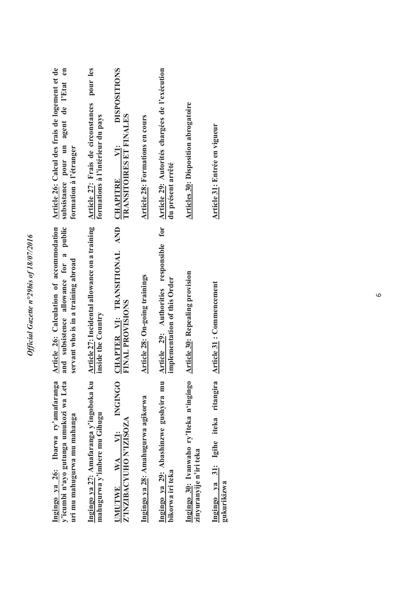|                                                            | Article 26: Calcul des frais de logement et de<br>subsistance pour un agent de l'Etat en<br>Article 27: Frais de circonstances<br>TRANSITOIRES ET FINALES<br>formations à l'intérieur du pays<br>Article 28: Formations en cours<br>VI:<br>formation à l'étranger<br><b>CHAPITRE</b> | Article 26: Calculation of accommodation<br>and subsistence allowance for a public<br>Article 29: Authorities responsible<br>servant who is in a training abroad<br>Article 28: On-going trainings<br><b>FINAL PROVISIONS</b><br>inside the Country | Ingingo ya 26: Ibarwa ry'amafaranga<br>Ingingo ya 27: Amafaranga y'ingoboka ku<br><b>INGINGO</b><br>y'icumbi n'ayo gutunga umukozi wa Leta<br>Ingingo ya 29: Abashinzwe gushyira mu<br>Ingingo ya 28: Amahugurwa agikorwa<br>mahugurwa y'imbere mu Gihugu<br>uri mu mahugurwa mu mahanga<br>Z'INZIBACYUHO N'IZISOZA<br>JMUTWE WA VI: |
|------------------------------------------------------------|--------------------------------------------------------------------------------------------------------------------------------------------------------------------------------------------------------------------------------------------------------------------------------------|-----------------------------------------------------------------------------------------------------------------------------------------------------------------------------------------------------------------------------------------------------|--------------------------------------------------------------------------------------------------------------------------------------------------------------------------------------------------------------------------------------------------------------------------------------------------------------------------------------|
| du présent arrêté<br>implementation of this Order          |                                                                                                                                                                                                                                                                                      |                                                                                                                                                                                                                                                     | bikorwa iri teka                                                                                                                                                                                                                                                                                                                     |
| Article 29: Autorités chargées de l'exécution<br>for       |                                                                                                                                                                                                                                                                                      |                                                                                                                                                                                                                                                     |                                                                                                                                                                                                                                                                                                                                      |
|                                                            |                                                                                                                                                                                                                                                                                      |                                                                                                                                                                                                                                                     |                                                                                                                                                                                                                                                                                                                                      |
| <b>DISPOSITIONS</b><br>CHAPTER VI: TRANSITIONAL AND        |                                                                                                                                                                                                                                                                                      |                                                                                                                                                                                                                                                     |                                                                                                                                                                                                                                                                                                                                      |
| pour les<br>Article 27: Incidental allowance on a training |                                                                                                                                                                                                                                                                                      |                                                                                                                                                                                                                                                     |                                                                                                                                                                                                                                                                                                                                      |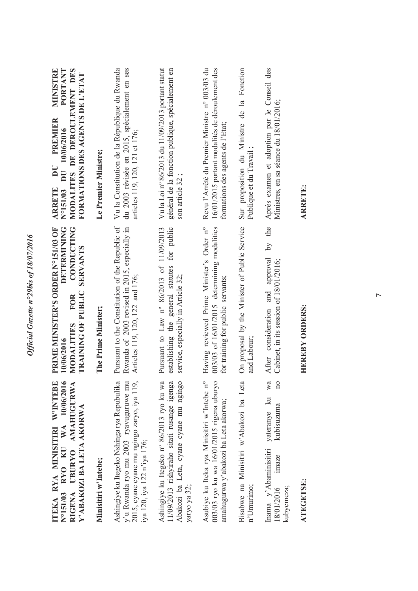| ITEKA RYA MINISITIRI W'INTEBE<br>RYO KU WA $10/06/2016$<br>RIGENA UBURYO AMAHUGURWA<br>Y'ABAKOZI BA LETA AKORWA<br>N°151/03                                        | <b>CONDUCTING</b><br>PRIME MINISTER'S ORDER N°151/03 OF<br><b>DETERMINING</b><br><b>SERVANTS</b><br>TRAINING OF PUBLIC<br><b>FOR</b><br>MODALITIES<br>10/06/2016 | <b>PORTANT</b><br>MINISTRE<br>MODALITES DE DEROULEMENT DES<br>FORMATIONS DES AGENTS DE L'ETAT<br><b>PREMIER</b><br>10/06/2016<br>$\overline{\mathbf{D}}$<br>$\overline{\mathbf{D}}$<br>N°151/03<br><b>ARRETE</b> |
|--------------------------------------------------------------------------------------------------------------------------------------------------------------------|------------------------------------------------------------------------------------------------------------------------------------------------------------------|------------------------------------------------------------------------------------------------------------------------------------------------------------------------------------------------------------------|
| Minisitiri w'Intebe;                                                                                                                                               | The Prime Minister;                                                                                                                                              | Le Premier Ministre;                                                                                                                                                                                             |
| Ashingiye ku Itegeko Nshinga rya Repubulika<br>y'u Rwanda ryo mu 2003 ryavuguruwe mu<br>2015, cyane cyane mu ngingo zaryo, iya 119,<br>iya 120, iya 122 n'iya 176; | Pursuant to the Constitution of the Republic of<br>Rwanda of 2003 revised in 2015, especially in<br>Articles 119, 120, 122 and 176;                              | Vu la Constitution de la République du Rwanda<br>du 2003 révisée en 2015, spécialement en ses<br>articles 119, 120, 121 et 176;                                                                                  |
| Ashingiye ku Itegeko nº 86/2013 ryo ku wa<br>11/09/2013 rishyiraho sitati rusange igenga<br>Abakozi ba Leta, cyane cyane mu ngingo<br>yaryo ya 32;                 | establishing the general statutes for public<br>Pursuant to Law n° 86/2013 of 11/09/2013<br>service, especially in Article 32;                                   | Vu la Loi nº 86/2013 du 11/09/2013 portant statut<br>général de la fonction publique, spécialement en<br>son article 32;                                                                                         |
| Asubiye ku Iteka rya Minisitiri w'Intebe n°<br>003/03 ryo ku wa 16/01/2015 rigena uburyo<br>amahugurwa y'abakozi ba Leta akorwa;                                   | Having reviewed Prime Minister's Order n°<br>003/03 of 16/01/2015 determining modalities<br>for training for public servants;                                    | Revu l'Arrêté du Premier Ministre n° 003/03 du<br>16/01/2015 portant modalités de déroulement des<br>formations des agents de l'Etat;                                                                            |
| Bisabwe na Minisitiri w'Abakozi ba Leta<br>n'Umurimo;                                                                                                              | On proposal by the Minister of Public Service<br>and Labour;                                                                                                     | Sur proposition du Ministre de la Fonction<br>Publique et du Travail                                                                                                                                             |
| wa<br>$\Omega$<br>$\mathbb{R}$<br>kubisuzuma<br>yateranye<br>Inama y'Abaminisitiri<br>imaze<br>18/01/2016<br>kubyemeza;                                            | the<br>$\overline{S}$<br>After consideration and approval<br>Cabinet, in its session of 18/01/2016;                                                              | Après examen et adoption par le Conseil des<br>Ministres, en sa séance du 18/01/2016;                                                                                                                            |
| <b>ATEGETSE:</b>                                                                                                                                                   | <b>HEREBY ORDERS:</b>                                                                                                                                            | <b>ARRETE:</b>                                                                                                                                                                                                   |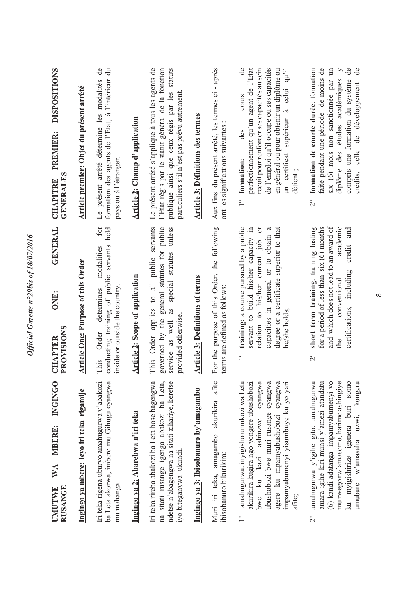| <b>INGINGO</b><br><b>MBERE:</b><br>WA<br><b>RUSANGE</b><br><b>UMUTWE</b>                                                                                                                                                                                            | ONE:<br>PROVISIONS<br><b>CHAPTER</b>                                                                                                                                                                                                             | <b>GENERAL</b>         | <b>DISPOSITIONS</b><br><b>PREMIER:</b><br><b>GENERALES</b><br><b>CHAPITRE</b>                                                                                                                                                                                                                  |
|---------------------------------------------------------------------------------------------------------------------------------------------------------------------------------------------------------------------------------------------------------------------|--------------------------------------------------------------------------------------------------------------------------------------------------------------------------------------------------------------------------------------------------|------------------------|------------------------------------------------------------------------------------------------------------------------------------------------------------------------------------------------------------------------------------------------------------------------------------------------|
| Ingingo ya mbere: Icyo iri teka rigamije                                                                                                                                                                                                                            | <b>Article One: Purpose of this Order</b>                                                                                                                                                                                                        |                        | Article premier: Objet du présent arrêté                                                                                                                                                                                                                                                       |
| ba Leta akorwa, imbere mu Gihugu cyangwa<br>Iri teka rigena uburyo amahugurwa y'abakozi<br>mu mahanga.                                                                                                                                                              | conducting training of public servants<br>modalities<br>inside or outside the country<br>determines<br>Order<br>This                                                                                                                             | for<br>held            | Le présent arrêté détermine les modalités de<br>formation des agents de l'Etat, à l'intérieur du<br>pays ou à l'étranger.                                                                                                                                                                      |
| Ingingo ya 2: Abarebwa n'iri teka                                                                                                                                                                                                                                   | <b>Article 2: Scope of application</b>                                                                                                                                                                                                           |                        | <b>Article 2: Champ d'application</b>                                                                                                                                                                                                                                                          |
| Iri teka rireba abakozi ba Leta bose bagengwa<br>na sitati rusange igenga abakozi ba Leta,<br>ndetse n'abagengwa na sitati zihariye, keretse<br>iyo biteganywa ukundi.                                                                                              | general statutes for public<br>This Order applies to all public servants<br>special statutes unless<br>as<br>provided otherwise.<br>governed by the<br>service as well                                                                           |                        | Le présent arrêté s'applique à tous les agents de<br>publique ainsi que ceux régis par les statuts<br>l'Etat régis par le statut général de la fonction<br>particuliers s'il n'est pas prévu autrement                                                                                         |
| Ingingo ya 3: Ibisobanuro by'amagambo                                                                                                                                                                                                                               | <b>Article 3: Definitions of terms</b>                                                                                                                                                                                                           |                        | <b>Article 3: Définitions des termes</b>                                                                                                                                                                                                                                                       |
| Muri iri teka, amagambo akurikira afite<br>ibisobanuro bikurikira:                                                                                                                                                                                                  | For the purpose of this Order, the following<br>terms are defined as follows:                                                                                                                                                                    |                        | Aux fins du présent arrêté, les termes ci - après<br>ont les significations suivantes :                                                                                                                                                                                                        |
| amahugurwa: inyigisho umukozi wa Leta<br>ubushobozi bwe muri rusange cyangwa<br>impamyabumenyi yisumbuye ku yo yari<br>akurikira kugira ngo yongere ubushobozi<br>cyangwa<br>cyangwa<br>bwe ku kazi ashinzwe<br>agere ku mpamyabushobozi<br>afite;<br>$\frac{1}{1}$ | training: a course pursued by a public<br>servant to build his/her capacity in<br>degree or a certificate superior to that<br>capacities in general or to obtain a<br>relation to his/her current job<br>he/she holds;<br>$\overline{1}^{\circ}$ | $\sigma$               | ಕೆ<br>perfectionnement qu'un agent de l'Etat<br>de l'emploi qu'il occupe ou ses capacités<br>reçoit pour renforcer ses capacités au sein<br>en général ou pour obtenir un diplôme ou<br>celui qu'il<br>cours<br>un certificat supérieur à<br>des<br>1° formation:<br>détient;                  |
| mu rwego rw'amasomo, harimo ashingiye<br>ku myigishirize igenera buri somo<br>amahugurwa y'igihe gito: amahugurwa<br>(6) kandi adatanga impamyabumenyi yo<br>amara igihe kiri munsi y'amezi atandatu<br>umubare w'amasaha uzwi, kongera<br>$\overline{C}$           | and which does not lead to an award of<br>short term training: training lasting<br>for a period of less than six (6) months<br>certifications, including<br>conventional<br>$\overline{C}$                                                       | academic<br>credit and | formation de courte durée: formation<br>faite pendant une période de moins de<br>compris une formation du système de<br>six (6) mois non sanctiomée par un<br>$\geq$<br>$\mathsf{d}\mathsf{e}$<br>diplôme des études académiques<br>crédits, celle de développement<br>$\overset{\circ}{\sim}$ |

Official Gazette n°29bis of 18/07/2016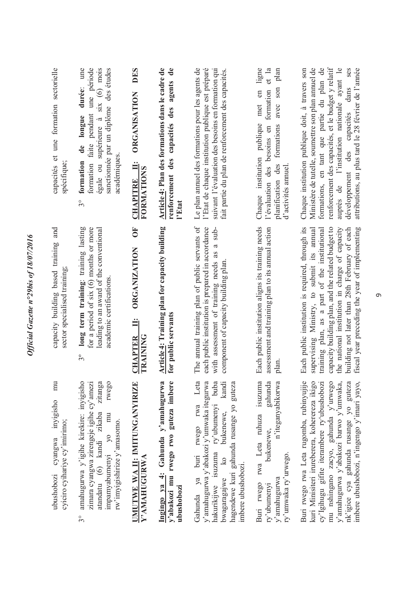| capacités et une formation sectorielle<br>spécifique;                     | formation faite pendant une période<br>égale ou supérieure à six (6) mois<br>sanctionnée par un diplôme des études<br>durée: une<br>longue<br>de<br>académiques<br>formation<br>$3^{\circ}$              | <b>DES</b><br><b>ORGANISATION</b><br>Ë<br>FORMATIONS<br><b>CHAPITRE</b> | Article 4: Plan des formations dans le cadre de<br>$\ddot{\mathbf{e}}$<br>renforcement des capacités des agents<br>l'Etat | l'Etat de chaque institution publique est préparé<br>Le plan annuel des formations pour les agents de<br>suivant l'évaluation des besoins en formation qui<br>fait partie du plan de renforcement des capacités.                    | ligne<br>et la<br>plan<br>avec son<br>formation<br>met en<br>Chaque institution publique<br>l'évaluation des besoins en<br>formations<br>planification des<br>d'activités annuel | renforcement des capacités, et le budget y relatif<br>formations, en tant que partie du plan de<br>Chaque institution publique doit, à travers son<br>Ministère de tutelle, soumettre son plan annuel de<br>auprès de l'institution nationale ayant le<br>ses<br>attributions, au plus tard le 28 février de l'année<br>développement des capacités dans  |
|---------------------------------------------------------------------------|----------------------------------------------------------------------------------------------------------------------------------------------------------------------------------------------------------|-------------------------------------------------------------------------|---------------------------------------------------------------------------------------------------------------------------|-------------------------------------------------------------------------------------------------------------------------------------------------------------------------------------------------------------------------------------|----------------------------------------------------------------------------------------------------------------------------------------------------------------------------------|-----------------------------------------------------------------------------------------------------------------------------------------------------------------------------------------------------------------------------------------------------------------------------------------------------------------------------------------------------------|
| and<br>capacity building based training<br>sector specialised training:   | long term training: training lasting<br>for a period of six (6) months or more<br>leading to an award of the conventional<br>academic certifications<br>$3^{\circ}$                                      | UF<br>O<br><b>ORGANIZATION</b><br>Ë<br><b>TRAINING</b><br>CHAPTER       | Article 4: Training plan for capacity building<br>for public servants                                                     | The annual training plan of public servants of<br>each public institution is prepared in accordance<br>a sub-<br>with assessment of training needs as<br>component of capacity building plan                                        | Each public institution aligns its training needs<br>assessment and training plan to its annual action<br>plan                                                                   | Each public institution is required, through its<br>supervising Ministry, to submit its annual<br>capacity building plan, and the related budget to<br>training plan, as a part of the institutional<br>the national institution in charge of capacity<br>building not later than 28th February of each<br>fiscal year preceding the year of implementing |
| mu<br>inyigisho<br>cyiciro cyihariye cy'imirimo;<br>cyangwa<br>ubushobozi | amahugurwa y'igihe kirekire: inyigisho<br>zimara cyangwa zirengeje igihe cy'amezi<br>zitanga<br>rwego<br>atandatu (6) kandi zikaba<br>impamyabumenyi yo mu<br>rw'imyigishirize y'amasomo.<br>$3^{\circ}$ | UMUTWE WA II: IMITUNGANYIRIZE<br>Y' AMAHUGURWA                          | Ingingo ya 4: Gahunda y'amahugurwa<br>y'abakozi mu rwego rwo guteza imbere<br>ubushobozi                                  | Leta<br>y'amahugurwa y'abakozi y'umwaka itegurwa<br>hakurikijwe isuzuma ry'ubumenyi buba<br>kandi<br>hagendewe kuri gahunda rusange yo guteza<br>rwego rwa<br>bukenewe,<br>Gahunda ya buri<br>bwagaragajwe ko<br>imbere ubushobozi. | rwa Leta ruhuza isuzuma<br>gahunda<br>n'iteganyabikorwa<br>bukenewe,<br>ry'umwaka ry'urwego.<br>y'amahugurwa<br>Buri rwego<br>ry'ubumenyi                                        | Buri rwego rwa Leta rugomba, rubinyujije<br>kuri Minisiteri irureberera, koherereza ikigo<br>cy'lgihugu gifite iterambere ry'ubushobozi<br>mu nshingano zacyo, gahunda y'urwego<br>nk'igice cya gahunda rusange yo guteza<br>y'amahugurwa y'abakozi barwo y'umwaka,<br>imbere ubushobozi, n'ingengo y'imari yayo,                                         |

 $\circ$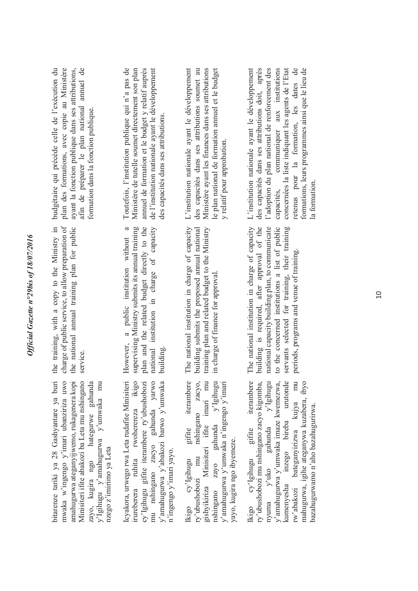| budgétaire qui précède celle de l'exécution du<br>plan des formations, avec copie au Ministère<br>afin de préparer le plan national annuel de<br>ayant la fonction publique dans ses attributions,<br>formation dans la fonction publique.                                                | Toutefois, l'institution publique qui n'a pas de<br>de l'institution nationale ayant le développement<br>Ministère de tutelle soumet directement son plan<br>annuel de formation et le budget y relatif auprès<br>des capacités dans ses attributions. | L'institution nationale ayant le développement<br>des capacités dans ses attributions soumet au<br>Ministère ayant les finances dans ses attributions<br>le plan national de formation annuel et le budget<br>y relatif pour approbation.                           | concernées la liste indiquant les agents de l'Etat<br>des capacités dans ses attributions doit, après<br>l'adoption du plan national de renforcement des<br>communiquer aux institutions<br>retenus pour la formation, les dates de<br>formations, leurs programmes ainsi que le lieu de<br>L'institution nationale ayant le développement<br>la formation.<br>capacités, |
|-------------------------------------------------------------------------------------------------------------------------------------------------------------------------------------------------------------------------------------------------------------------------------------------|--------------------------------------------------------------------------------------------------------------------------------------------------------------------------------------------------------------------------------------------------------|---------------------------------------------------------------------------------------------------------------------------------------------------------------------------------------------------------------------------------------------------------------------|---------------------------------------------------------------------------------------------------------------------------------------------------------------------------------------------------------------------------------------------------------------------------------------------------------------------------------------------------------------------------|
| training, with a copy to the Ministry in<br>rge of public service, to allow preparation of<br>the national annual training plan for public<br>service.<br>chat<br>the                                                                                                                     | national institution in charge of capacity<br>supervising Ministry submits its annual training<br>a<br>plan and the related budget directly to the<br>a public institution without<br>However,<br>building.                                            | The national institution in charge of capacity<br>training plan and related budget to the Ministry<br>building submits the proposed annual national<br>in charge of finance for approval.                                                                           | national institution in charge of capacity<br>building is required, after approval of the<br>national capacity building plan, to communicate<br>to the concerned institutions a list of public<br>servants selected for training, their training<br>periods, programs and venue of training.<br>The                                                                       |
| bitarenze tariki ya 28 Gashyantare ya buri<br>amahugurwa ateganyijwemo, rukagenera kopi<br>mwaka w'ingengo y'imari ubanziriza uwo<br>Minisiteri ifite abakozi ba Leta mu nshingano<br>zayo, kugira ngo hategurwe gahunda<br>y'Igihugu y'amahugurwa y'umwaka mu<br>nzego z'imirimo ya Leta | Icyakora, urwego rwa Leta rudafite Minisiteri<br>irureberera ruhita rwoherereza ikigo<br>mu nshingano zacyo gahunda yarwo<br>cy'lgihugu gifite iterambere ry'ubushobozi<br>y'amahugurwa y'abakozi barwo y'umwaka<br>n'ingengo y'imari yayo.            | gifite iterambere<br>IKIgo cy-igungu gune neuanoele<br>ry'ubushobozi mu nshingano zacyo,<br>gishyikiriza Minisiteri ifite imari mu<br>nshingano zayo gahunda y'Igihugu<br>y'amahugurwa y'umwaka n'ingengo y'imari<br>yayo, kugira ngo ibyemeze.<br>Ikigo cy'Igihugu | kumenyesha inzego bireba urutonde<br>gifite iterambere<br>bateganyirizwa kujya mu<br>ry'ubushobozi mu nshingano zacyo kigomba, nyuma y'uko gahunda y'Igihugu y'amahugurwa y'umwaka imaze kwemezwa,<br>mahugurwa, igihe ateganywa kuzabera, ibyo<br>bazahugurwamo n'aho bazahugurirwa.<br>Rigo cy'Igihugu<br>rw'abakozi                                                    |

Official Gazette n°29bis of 18/07/2016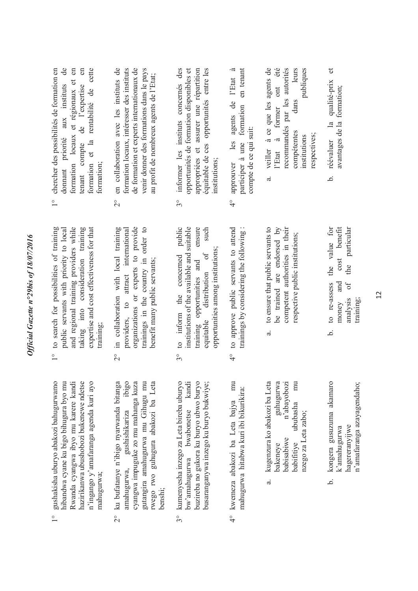| 18/07/20                                |
|-----------------------------------------|
|                                         |
|                                         |
|                                         |
|                                         |
|                                         |
|                                         |
|                                         |
|                                         |
|                                         |
|                                         |
|                                         |
|                                         |
|                                         |
|                                         |
|                                         |
| $\mu c n^{\circ} 29 h^3$                |
| いわりつき                                   |
|                                         |
|                                         |
|                                         |
|                                         |
| $\sim c c_{\alpha \alpha \alpha \beta}$ |
|                                         |
|                                         |
| .<br>در                                 |
|                                         |
|                                         |
|                                         |

- 1° gushakisha uburyo abakozi bahugurwamo hibandwa cyane ku bigo bihugura byo mu Rwanda cyangwa ibyo mu karere kandi hazirikanwa ubushobozi bukenewe ndetse n'ingango y'amafaranga agenda kuri ayo gushakisha uburyo abakozi bahugurwamo hazirikanwa ubushobozi bukenewe ndetse hibandwa cyane ku bigo bihugura byo mu Rwanda cyangwa ibyo mu karere kandi n'ingango y'amafaranga agenda kuri ayo mahugurwa; mahugurwa;  $\frac{1}{2}$
- ibigo 2° ku bufatanye n'ibigo nyarwanda bitanga amahugurwa, gushishikariza ibigo cyangwa impuguke zo mu mahanga kuza gutangira amahugurwa mu Gihugu mu rwego rwo guhugura abakozi ba Leta cyangwa impuguke zo mu mahanga kuza gutangira amahugurwa mu Gihugu mu wego rwo guhugura abakozi ba Leta ku bufatanye n'ibigo nyarwanda bitanga gushishikariza amahugurwa, benshi;  $\frac{1}{2}$
- 3° kumenyesha inzego za Leta bireba uburyo bw'amahugurwa bwabonetse kandi busaranganywa inzego ku buryo bukwiye; kumenyesha inzego za Leta bireba uburyo kandi buzireba no gukora ku buryo ubwo buryo buzireba no gukora ku buryo ubwo buryo busaranganywa inzego ku buryo bukwiye; bwabonetse bw'amahugurwa  $3^\circ$
- 4° kwemeza abakozi ba Leta bajya mu mu mahugurwa hitabwa kuri ibi bikurikira: mahugurwa hitabwa kuri ibi bikurikira: kwemeza abakozi ba Leta bajya  $\frac{1}{4}$
- guhugurwa<br>n'abayobozi a. kugenzura ko abakozi ba Leta bakeneye guhugurwa babisabiwe n'abayobozi babifitiye ububasha mu  $mu$ kugenzura ko abakozi ba Leta ububasha nzego za Leta zabo; nzego za Leta zabo; babisabiwe babifitive bakeneye  $\ddot{a}$
- b. kongera gusuzuma akamaro n'amafaranga azayagendaho; kongera gusuzuma akamaro n'amafaranga azayagendaho; hagereranyijwe hagereranyijwe k'amahugurwa k'amahugurwa .<br>ف
- to search for possibilities of training 1° to search for possibilities of training public servants with priority to local and regional training providers while and regional training providers while taking into consideration training taking into consideration training expertise and cost effectiveness for that expertise and cost effectiveness for that oublic servants with priority to local training;  $\frac{1}{2}$
- 2° in collaboration with local training providers, to attract international organizations or experts to provide organizations or experts to provide trainings in the country in order to trainings in the country in order to in collaboration with local training providers, to attract international benefit many public servants; benefit many public servants;  $\overline{C}$
- public such 3° to inform the concerned public institutions of the available and suitable training opportunities and ensure equitable distribution of such institutions of the available and suitable ensure opportunities among institutions; opportunities among institutions;  $\sigma$ f to inform the concerned training opportunities and<br>equitable distribution of  $3^{\circ}$
- to approve public servants to attend 4° to approve public servants to attend trainings by considering the following : trainings by considering the following:  $\frac{1}{2}$
- to ensure that public servants to a. to ensure that public servants to be trained are endorsed by be trained are endorsed by competent authorities in their competent authorities in their respective public institutions; respective public institutions; ಡ
- to re-assess the value for b. to re-assess the value for cost benefit money and cost benefit analysis of the particular the particular and  $0f$ analysis money training; نم
- donnant priorité aux instituts de 1° chercher des possibilités de formation en  $\frac{1}{\sqrt{2}}$ formation locaux et régionaux et en formation locaux et régionaux et en tenant compte de l'expertise en formation et la rentabilité de cette formation et la rentabilité de cette chercher des possibilités de formation en  $\epsilon$ donnant priorité aux instituts tenant compte de l'expertise formation;  $\frac{1}{1}$
- 2° en collaboration avec les instituts de formation locaux, intéresser des instituts formation locaux, intéresser des instituts de formation et experts internationaux de de formation et experts internationaux de venir donner des formations dans le pays venir donner des formations dans le pays en collaboration avec les instituts de au profit de nombreux agents de l'Etat; au profit de nombreux agents de l'Etat;  $\overline{C}$
- informer les instituts concernés des 3° informer les instituts concernés des opportunités de formation disponibles et opportunités de formation disponibles et appropriées et assurer une répartition appropriées et assurer une répartition équitable de ces opportunités entre les équitable de ces opportunités entre les institutions: institutions;  $3^{\circ}$
- approuver les agents de l'Etat à 4° approuver les agents de l'Etat à participer à une formation en tenant participer à une formation en tenant compte de ce qui suit: compte de ce qui suit:  $\frac{1}{\sqrt{2}}$
- recommandés par les autorités leurs compétentes dans leurs institutions publiques a. veiller à ce que les agents de l'Etat à former ont été cecommandés par les autorités veiller à ce que les agents de ont été publiques dans former compétentes  $\overline{a}$ respectives; nstitutions espectives; l'Etat  $\ddot{a}$
- b. réévaluer la qualité-prix et  $\sigma$ qualité-prix avantages de la formation; avantages de la formation;  $\overline{a}$ réévaluer .<br>م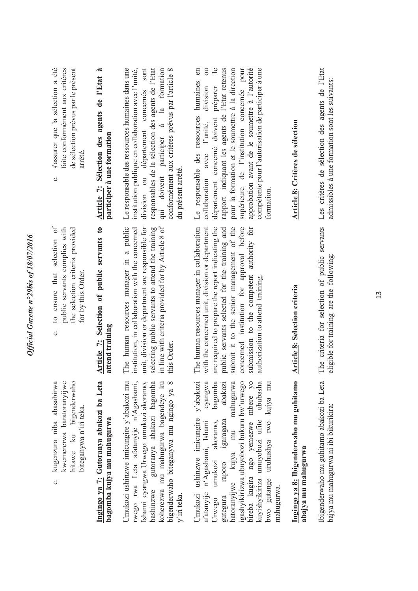| de sélection prévus par le présent<br>s'assurer que la sélection a été<br>faite conformément aux critères<br>arrêté.<br>c. | Article 7: Sélection des agents de l'Etat à<br>participer à une formation | division ou département concernés sont<br>responsables de la sélection des agents de l'Etat<br>Le responsable des ressources humaines dans une<br>qui doivent participer à la formation<br>institution publique en collaboration avec l'unité,<br>conformément aux critères prévus par l'article 8<br>du présent arrêté. | $\mathbf{e}$<br>approbation avant de le soumettre à l'autorité<br>compétente pour l'autorisation de participer à une<br>$\overline{\text{ou}}$<br>rapport indiquant les agents de l'Etat retenus<br>pour la formation et le soumettre à la direction<br>supérieure de l'institution concernée pour<br>humaines en<br>préparer<br>division<br>Le responsable des ressources<br>département concerné doivent<br>l'unité,<br>collaboration avec<br>formation. | Article 8: Critères de sélection                               | Les critères de sélection des agents de l'Etat<br>admissibles à une formation sont les suivants: |
|----------------------------------------------------------------------------------------------------------------------------|---------------------------------------------------------------------------|--------------------------------------------------------------------------------------------------------------------------------------------------------------------------------------------------------------------------------------------------------------------------------------------------------------------------|------------------------------------------------------------------------------------------------------------------------------------------------------------------------------------------------------------------------------------------------------------------------------------------------------------------------------------------------------------------------------------------------------------------------------------------------------------|----------------------------------------------------------------|--------------------------------------------------------------------------------------------------|
| to ensure that selection of<br>public servants complies with<br>the selection criteria provided<br>for by this Order.<br>ပ | Article 7: Selection of public servants to<br>attend training             | in line with criteria provided for by Article 8 of<br>The human resources manager in a public<br>unit, division or department are responsible for<br>institution, in collaboration with the concerned<br>selecting public servants to attend the training<br>this Order.                                                 | are required to prepare the report indicating the<br>The human resources manager in collaboration<br>with the concerned unit, division or department<br>public servants selected for the training and<br>submit it to the senior management of the<br>concerned institution for approval before<br>submission to the competent authority for<br>authorization to attend training.                                                                          | <b>Article 8: Selection criteria</b>                           | The criteria for selection of public servants<br>eligible for training are the following:        |
| kugenzura niba abasabirwa<br>kwemererwa baratoranyijwe<br>hitawe ku bigenderwaho<br>biteganywa n'iri teka.<br>ပ            | Ingingo ya 7: Gutoranya abakozi ba Leta<br>bagomba kujya mu mahugurwa     | Umukozi ushinzwe imicungire y'abakozi mu<br>rwego rwa Leta afatanyije n'Agashami,<br>Ishami cyangwa Urwego umukozi akoramo,<br>gutoranya abakozi bagomba<br>koherezwa mu mahugurwa bagendeye ku<br>bigenderwaho biteganywa mu ngingo ya 8<br>bashinzwe<br>v'iri teka.                                                    | y'abakozi<br>cyangwa<br>bagomba<br>abakozi<br>mahugurwa<br>igashyikirizwa ubuyobozi bukuru bw'urwego<br>bireba kugira ngo yemezwe mbere yo<br>ububasha<br>uruhushya rwo kujya mu<br>ushinzwe imicungire<br>kuyishyikiriza umuyobozi ufite<br>igaragaza<br>n'Agashami, Ishami<br>akoramo,<br>mu<br>batoranyijwe kujya<br>umukozi<br>raporo<br>bwo gutange<br>mahugurwa.<br>afatanyije<br>Umukozi<br>gutegura<br>Urwego                                      | Ingingo ya 8: Ibigenderwaho mu guhitamo<br>abajya mu mahugurwa | Ibigenderwaho mu guhitamo abakozi ba Leta<br>bajya mu mahugurwa ni ibi bikurikira:               |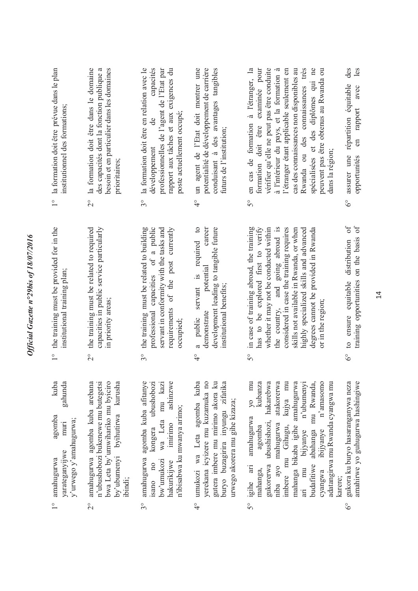| 1° la formation doit être prévue dans le plan<br>institutionnel des formations;                              | 2° la formation doit être dans le domaine<br>besoin et en particulier dans les domaines<br>des capacités dont la fonction publique a<br>prioritaires;                    | capacités<br>3° la formation doit être en relation avec le<br>professionnelles de l'agent de l'Etat par<br>rapport aux tâches et aux exigences du<br>poste actuellement occupé;<br>de<br>développement | un agent de l'Etat doit montrer une<br>potentialité de développement de carrière<br>conduisant à des avantages tangibles<br>futurs de l'institution;<br>$\frac{1}{4}$                       | vérifier qu'elle ne peut pas être conduite<br>Rwanda ou des connaissances très<br>en cas de formation à l'étranger, la<br>formation doit être examinée pour<br>à l'intérieur du pays, et la formation à<br>cas des connaissances non disponibles au<br>spécialisées et des diplômes qui ne<br>l'étranger étant applicable seulement en<br>peuvent pas être obtenus au Rwanda ou<br>dans la région;<br>$5^{\circ}$ | des<br>les<br>répartition équitable<br>avec<br>rapport<br>en<br>assurer une<br>opportunités<br>$6^\circ$ |
|--------------------------------------------------------------------------------------------------------------|--------------------------------------------------------------------------------------------------------------------------------------------------------------------------|--------------------------------------------------------------------------------------------------------------------------------------------------------------------------------------------------------|---------------------------------------------------------------------------------------------------------------------------------------------------------------------------------------------|-------------------------------------------------------------------------------------------------------------------------------------------------------------------------------------------------------------------------------------------------------------------------------------------------------------------------------------------------------------------------------------------------------------------|----------------------------------------------------------------------------------------------------------|
|                                                                                                              |                                                                                                                                                                          |                                                                                                                                                                                                        |                                                                                                                                                                                             |                                                                                                                                                                                                                                                                                                                                                                                                                   |                                                                                                          |
| 1° the training must be provided for in the<br>institutional training plan;                                  | capacities in public service particularly<br>the training must be related to required<br>in priority areas;                                                              | professional capacities of a public<br>the training must be related to building<br>servant in conformity with the tasks and<br>requirements of the post currently<br>occupied;                         | a public servant is required to<br>development leading to tangible future<br>career<br>potential<br>institutional benefits;<br>demonstrate                                                  | whether it may not be conducted within<br>the country, and going abroad is<br>considered in case the training requires<br>in case of training abroad, the training<br>skills not available in Rwanda, or when<br>has to be explored first to verify<br>highly specialized skills and advanced<br>degrees cannot be provided in Rwanda<br>or in the region;                                                        | distribution of<br>training opportunities on the basis of<br>to ensure equitable                         |
|                                                                                                              | $\frac{1}{2}$                                                                                                                                                            | $3^{\circ}$                                                                                                                                                                                            | $\frac{1}{4}$                                                                                                                                                                               | $5^{\circ}$                                                                                                                                                                                                                                                                                                                                                                                                       | $\delta^{\circ}$                                                                                         |
| kuba<br>gahunda<br>agomba<br>y'urwego y'amahugurwa;<br>muri<br>yarateganyijwe<br>amahugurwa<br>$\frac{0}{1}$ | amahugurwa agomba kuba arebana<br>n'ubushobozi bukenewe mu butegetsi<br>bwa Leta by'umwihariko mu byiciro<br>by'ubumenyi byihutirwa kurusha<br>ibindi;<br>$\overline{C}$ | amahugurwa agomba kuba afitanye<br>ubushobozi<br>wa Leta mu kazi<br>ashinzwe<br>n'ibisabwa ku mwanya arimo;<br>imirimo<br>kongera<br>bw'umukozi<br>hakurikijwe<br>isano no<br>$\mathcal{S}^{\circ}$    | umukozi wa Leta agomba kuba<br>yerekana icyizere mu kuzamuka no<br>gutera imbere mu mirimo akora ku<br>buryo buzagirira inyungu zifatika<br>urwego akorera mu gihe kizaza;<br>$\frac{1}{4}$ | yo mu<br>kubanza<br>hakarebwa<br>atakorerwa<br>kujya mu<br>mahanga bikaba igihe amahugurwa<br>n'ubumenyi<br>mu Rwanda,<br>n'amasomo<br>adatangirwa mu Rwanda cyangwa mu<br>amahugurwa<br>gukorerwa ubushishozi,<br>niba ayo mahugurwa<br>imbere mu Gihugu,<br>agomba<br>budafitiwe abahanga<br>ibijyanye<br>bijyanye<br>ari mu<br>igihe ari<br>mahanga,<br>cyangwa<br>$5^{\circ}$                                 | gukora ku buryo hasaranganywa neza<br>amahirwe yo guhugurwa hashingiwe<br>karere;<br>$\delta^{\circ}$    |

 $5^{\circ}$ 

 $\frac{1}{4}$ 

*Official Gazette n°29bis of 18/07/2016* 

 $\overline{c}$ 

 $3^{\circ}$ 

Official Gazette n°29bis of 18/07/2016

 $6^\circ$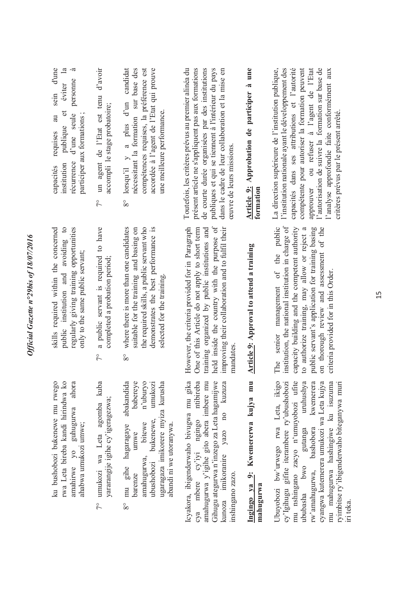| d'une<br>$\mathbf{a}$<br>à<br>personne<br>eviter<br>sein<br>$\sigma$<br>d'une seule<br>au<br>participer aux formations<br>publique<br>requises<br>récurrence<br>institution<br>capacités | un agent de l'Etat est tenu d'avoir<br>accompli le stage probatoire;<br>$\sqrt{\ }$ | candidat<br>accordée à l'agent de l'Etat qui prouve<br>nécessitant la formation sur base des<br>compétences requises, la préférence est<br>lorsqu'il $y$ a plus d'un<br>une meilleure performance.<br>$8^{\circ}$         | Toutefois, les critères prévus au premier alinéa du<br>présent article ne s'appliquent pas aux formations<br>de courte durée organisées par des institutions<br>publiques et qui se tiennent à l'intérieur du pays<br>dans le cadre de leur collaboration et la mise en<br>ceuvre de leurs missions. | Article 9: Approbation de participer à une<br>formation | l'institution nationale ayant le développement des<br>compétente pour autoriser la formation peuvent<br>La direction supérieure de l'institution publique,<br>capacités dans ses attributions et l'autorité<br>approuver ou refuser à l'agent de l'Etat<br>l'autorisation de suivre la formation sur base de<br>l'analyse approfondie faite conformément aux<br>critères prévus par le présent arrêté. |
|------------------------------------------------------------------------------------------------------------------------------------------------------------------------------------------|-------------------------------------------------------------------------------------|---------------------------------------------------------------------------------------------------------------------------------------------------------------------------------------------------------------------------|------------------------------------------------------------------------------------------------------------------------------------------------------------------------------------------------------------------------------------------------------------------------------------------------------|---------------------------------------------------------|--------------------------------------------------------------------------------------------------------------------------------------------------------------------------------------------------------------------------------------------------------------------------------------------------------------------------------------------------------------------------------------------------------|
| public institution and avoiding to<br>regularly giving training opportunities<br>skills required within the concerned<br>only to the same public servant;                                | a public servant is required to have<br>completed a probation period;<br>$\sqrt{2}$ | where there is more than one candidates<br>the required skills, a public servant who<br>demonstrates the best performance is<br>suitable for the training and basing on<br>selected for the training.<br>$8^{\circ}$      | held inside the country with the purpose of<br>However, the criteria provided for in Paragraph<br>One of this Article do not apply to short term<br>improving their collaboration and to fulfil their<br>training organized by public institutions and<br>mandates                                   | <b>Article 9: Approval to attend a training</b>         | institution, the national institution in charge of<br>The senior management of the public<br>capacity building and the competent authority<br>on thorough review and assessment of the<br>public servant's application for training basing<br>to authorize training, may allow or reject a<br>criteria provided for in this Order.                                                                     |
| ku bushobozi bukenewe mu rwego<br>rwa Leta bireba kandi hirindwa ko<br>amahirwe yo guhugurwa ahora<br>ahabwa umukozi umwe;                                                               | 7° umukozi wa Leta agomba kuba<br>yararangije igihe cy'igeragezwa;                  | abakandida<br>babereye<br>n'uburyo<br>umukozi<br>ugaragaza imikorere myiza kurusha<br>bukenewe,<br>mu gihe hagaragaye<br>bitewe<br>abandı ni we utoranywa.<br>umwe<br>amahugurwa,<br>ubushobozi<br>barenze<br>$8^{\circ}$ | Icyakora, ibigenderwaho bivugwa mu gika<br>cya mbere cy'iyi ngingo ntibireba<br>amahugurwa y'igihe gito abera imbere mu<br>Gihugu ategurwa n'inzego za Leta hagamijwe<br>kunoza imikoranire yazo no kuzuza<br>inshingano zazo.                                                                       | Ingingo ya 9: Kwemererwa kujya mu<br>mahugurwa          | Ubuyobozi bw'urwego rwa Leta, ikigo<br>cy'lgihugu gifite iterambere ry'ubushobozi<br>mu nshingano zacyo n'umuyobozi ufite<br>uruhushya<br>kwemerera<br>cyangwa kutemerera umukozi wa Leta kujya<br>mu mahugurwa hashingiwe ku isuzuma<br>ryimbitse ry'ibigenderwaho biteganywa muri<br>bashobora<br>gutanga<br>pwo<br>rw'amahugurwa,<br>ububasha<br>iri teka.                                          |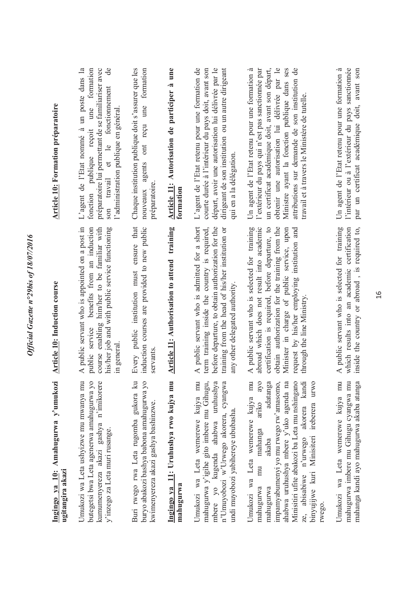| Ingingo ya 10: Amahugurwa y'umukozi<br>ugitangira akazi                                                                                                                                                                                                                                                                                            | <b>Article 10: Induction course</b>                                                                                                                                                                                                                                                                                         | <b>Article 10: Formation préparatoire</b>                                                                                                                                                                                                                                                                                                                  |
|----------------------------------------------------------------------------------------------------------------------------------------------------------------------------------------------------------------------------------------------------------------------------------------------------------------------------------------------------|-----------------------------------------------------------------------------------------------------------------------------------------------------------------------------------------------------------------------------------------------------------------------------------------------------------------------------|------------------------------------------------------------------------------------------------------------------------------------------------------------------------------------------------------------------------------------------------------------------------------------------------------------------------------------------------------------|
| Umukozi wa Leta ushyizwe mu mwanya mu<br>butegetsi bwa Leta agenerwa amahugurwa yo<br>kumumenyereza akazi gashya n'imikorere<br>y'inzego za Leta muri rusange.                                                                                                                                                                                     | A public servant who is appointed on a post in<br>benefits from an induction<br>course enabling him/her to be familiar with<br>his/her job and with public service functioning<br>public service<br>in general                                                                                                              | L'agent de l'Etat nommé à un poste dans la<br>$\theta$<br>formation<br>préparatoire lui permettant de se familiariser avec<br>et le fonctionnement<br>une<br>l'administration publique en général.<br>publique reçoit<br>travail<br>fonction<br>son                                                                                                        |
| Buri rwego rwa Leta rugomba gukora ku<br>buryo abakozi bashya babona amahugurwa yo<br>kwimenyereza akazi gashya bashinzwe.                                                                                                                                                                                                                         | Every public institution must ensure that<br>induction courses are provided to new public<br>servants                                                                                                                                                                                                                       | Chaque institution publique doit s'assurer que les<br>reçu une formation<br>$\circ$ nt<br>nouveaux agents<br>préparatoire                                                                                                                                                                                                                                  |
| Ingingo ya 11: Uruhushya rwo kujya mu<br>mahugurwa                                                                                                                                                                                                                                                                                                 | Article 11: Authorisation to attend training                                                                                                                                                                                                                                                                                | Article 11: Autorisation de participer à une<br>formation                                                                                                                                                                                                                                                                                                  |
| Umukozi wa Leta wemerewe kujya mu<br>mahugurwa y'igihe gito imbere mu Gihugu,<br>mbere yo kugenda ahabwa uruhushya<br>n'Umuyobozi w'Urwego akorera, cyangwa<br>undi muyobozi yabihereye ububasha.                                                                                                                                                  | A public servant who is admitted for a short<br>term training inside the country is required,<br>before departure, to obtain authorization for the<br>training from the head of his/her institution or<br>any other delegated authority                                                                                     | L'agent de l'Etat retenu pour une formation de<br>courte durée à l'intérieur du pays doit, avant son<br>départ, avoir une autorisation lui délivrée par le<br>dirigeant de son institution ou un autre dirigeant<br>qui en a la délégation.                                                                                                                |
| Umukozi wa Leta wemerewe kujya mu<br>ayo<br>adatanga<br>impamyabumenyi yo mu rwego rw'amasomo,<br>ahabwa uruhushya mbere y'uko agenda na<br>Minisitiri ufite abakozi ba Leta mu nshingano<br>ze, abisabiwe n'urwego akorera kandi<br>binyujijwe kuri Minisiteri ireberera urwo<br>ariko<br>mu mahanga<br>akaba<br>mahugurwa<br>mahugurwa<br>rwego. | A public servant who is selected for training<br>abroad which does not result into academic<br>obtain authorization for the training from the<br>certification is required, before departure, to<br>Minister in charge of public service, upon<br>request by his/her employing institution and<br>through the line Ministry | obtenir une autorisation lui délivrée par le<br>attributions sur demande de son institution de<br>Un agent de l'Etat retenu pour une formation à<br>un certificat académique doit, avant son départ,<br>Ministre ayant la fonction publique dans ses<br>l'extérieur du pays qui n'est pas sanctionnée par<br>travail et à travers le Ministère de tutelle. |
| Umukozi wa Leta wemerewe kujya mu<br>mahugurwa imbere mu Gihugu cyangwa mu<br>mahanga kandi ayo mahugurwa akaba atanga                                                                                                                                                                                                                             | A public servant who is selected for training<br>which results into an academic certification<br>inside the country or abroad, is required to,                                                                                                                                                                              | l'intérieur ou à l'extérieur du pays sanctionnée<br>Un agent de l'Etat retenu pour une formation à<br>par un certificat académique doit, avant son                                                                                                                                                                                                         |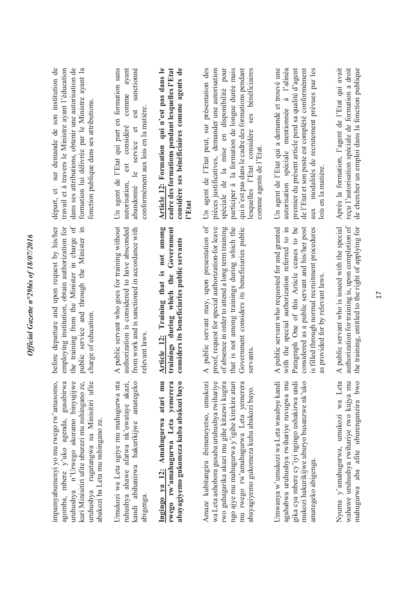| ∍                         |
|---------------------------|
|                           |
|                           |
| へへん<br>ì                  |
|                           |
| ś<br>Ş                    |
| $\ddot{\phantom{0}}$<br>š |
|                           |
|                           |
| ਠ<br>١                    |
|                           |
| ≀                         |
|                           |
|                           |
| Í                         |
| z                         |
|                           |
|                           |
| Ì                         |
| t<br>j                    |
|                           |
|                           |
| $\ddot{\phantom{0}}$      |
|                           |
| $\gamma$ ffician.         |
|                           |
| ζ                         |
|                           |

impamyabumenyi yo mu rwego rw'amasomo, agomba, mbere y'uko agenda, gusabirwa agomba, mbere y'uko agenda, gusabirwa uruhushya n'Urwego akoramo binyujijwe uruhushya n'Urwego akoramo binyujijwe kuri Minisitiri ufite uburezi mu nshingano ze, uruhushya rugatangwa na Minisitiri ufite uruhushya rugatangwa na Minisitiri ufite mpamyabumenyi yo mu rwego rw'amasomo, kuri Minisitiri ufite uburezi mu nshingano ze, abakozi ba Leta mu nshingano ze. abakozi ba Leta mu nshingano ze.

Jmukozi wa Leta ugiye mu mahugurwa nta Umukozi wa Leta ugiye mu mahugurwa nta uhushya ahawe afatwa nk'uwataye akazi, ruhushya ahawe afatwa nk'uwataye akazi, kandi abihanirwa hakurikijwe amategeko kandi abihanirwa hakurikijwe amategeko abigenga.

rwego rw'amahugurwa Leta yemerera abayagiyemo gukomeza kuba abakozi bayo **Ingingo ya 12: Amahugurwa atari mu rwego rw'amahugurwa Leta yemerera abayagiyemo gukomeza kuba abakozi bayo**  Ingingo ya 12: Amahugurwa atari mu

wa Leta ashobora gusaba uruhushya rwihariye Amaze kubitangira ibimeneyetso, umukozi Amaze kubitangira ibimeneyetso, umukozi wa Leta ashobora gusaba uruhushya rwihariye rwo guhagarika akazi mu gihe kitazwi kugira ngo ajye mu mahugurwa y'igihe kirekire atari ngo ajye mu mahugurwa y'igihe kirekire atari mu rwego rw'amahugurwa Leta yemerera mu rwego rw'amahugurwa Leta yemerera rwo guhagarika akazi mu gihe kitazwi kugira abayagiyemo gukomeza kuba abakozi bayo. abayagiyemo gukomeza kuba abakozi bayo. Jmwanya w'umukozi wa Leta wasabye kandi Umwanya w'umukozi wa Leta wasabye kandi agahabwa uruhushya rwihariye ruvugwa mu agahabwa uruhushya rwihariye ruvugwa mu mukozi hakurikijwe uburyo busanzwe nk'uko mukozi hakurikijwe uburyo busanzwe nk'uko gika cya mbere cy'iyi ngingo ushakirwa undi gika cya mbere cy'iyi ngingo ushakirwa undi amategeko abigenga. amategeko abigenga

Nyuma y'amahugurwa, umukozi wa Leta mahugurwa aba afite uburenganzira bwo Nyuma y'amahugurwa, umukozi wa Leta wahawe uruhushya rwihariye rwo kujya mu mahugurwa aba afite uburenganzira bwo wahawe uruhushya rwihariye rwo kujya mu

before departure and upon request by his/her employing institution, obtain authorization for the training from the Minister in charge of before departure and upon request by his/her employing institution, obtain authorization for the training from the Minister in charge of public service and through the Minister in public service and through the Minister in charge of education. charge of education.

A public servant who goes for training without A public servant who goes for training without authorization is considered to have absconded authorization is considered to have absconded from work and is sanctioned in accordance with from work and is sanctioned in accordance with relevant laws. relevant laws.

trainings during which the Government Article 12: Training that is not among **Article 12: Training that is not among trainings during which the Government**  considers its beneficiaries public servants **considers its beneficiaries public servants** 

A public servant may, upon presentation of proof, request for special authorization-for leave A public servant may, upon presentation of proof, request for special authorization for leave of absence in order to attend a long term training of absence in order to attend a long term training that is not among trainings during which the that is not among trainings during which the Government considers its beneficiaries public Government considers its beneficiaries public servants.

A public servant who requested for and granted A public servant who requested for and granted with the special authorization referred to in with the special authorization referred to in Paragraph One of this Article ceases to be Paragraph One of this Article ceases to be considered as a public servant and his/her post considered as a public servant and his/her post is filled through normal recruitment procedures is filled through normal recruitment procedures as provided for by relevant laws. as provided for by relevant laws.

authorization for training is, upon completion of the training, entitled to the right of applying for A public servant who is issued with the special A public servant who is issued with the special authorization for training is, upon completion of the training, entitled to the right of applying for

dans ses attributions, obtenir une autorisation de départ, et sur demande de son institution de travail et à travers le Ministre avant l'éducation travail et à travers le Ministre ayant l'éducation dans ses attributions, obtenir une autorisation de formation lui délivrée par le Ministre ayant la formation lui délivrée par le Ministre ayant la départ, et sur demande de son institution de fonction publique dans ses attributions. fonction publique dans ses attributions.

Un agent de l'Etat qui part en formation sans autorisation, est considéré comme ayant sanctionné abandonné le service et est sanctionné Un agent de l'Etat qui part en formation sans autorisation, est considéré comme avant  $est$ conformément aux lois en la matière. conformément aux lois en la matière. le service et abandonné

**Article 12: Formation qui n'est pas dans le**  cadre des formations pendant lesquelles l'Etat **cadre des formations pendant lesquelles l'Etat**  considère ses bénéficiaires comme agents de **considère ses bénéficiaires comme agents de**  Article 12: Formation qui n'est pas dans le **l'Etat** 

Un agent de l'Etat peut, sur présentation des pièces justificatives, demander une autorisation pièces justificatives, demander une autorisation spéciale de la mise en disponibilité pour spéciale de la mise en disponibilité pour participer à la formation de longue durée mais participer à la formation de longue durée mais qui n'est pas dans le cadre des formations pendant lesquelles l'Etat considère ses bénéficiaires Un agent de l'Etat peut, sur présentation des qui n'est pas dans le cadre des formations pendant lesquelles l'Etat considère ses bénéficiaires comme agents de l'Etat. comme agents de l'Etat.

de l'Etat et son poste est complété conformément Un agent de l'Etat qui a demandé et trouvé une autorisation spéciale mentionnée à l'alinéa autorisation spéciale mentionnée à l'alinéa premier du présent article perd sa qualité d'agent aux modalités de recrutement prévues par les Un agent de l'Etat qui a demandé et trouvé une premier du présent article perd sa qualité d'agent de l'Etat et son poste est complété conformément aux modalités de recrutement prévues par les lois en la matière. lois en la matière.

Après la formation, l'agent de l'Etat qui avait Après la formation, l'agent de l'Etat qui avait reçu l'autorisation spéciale de formation a droit de chercher un emploi dans la fonction publique reçu l'autorisation spéciale de formation a droit de chercher un emploi dans la fonction publique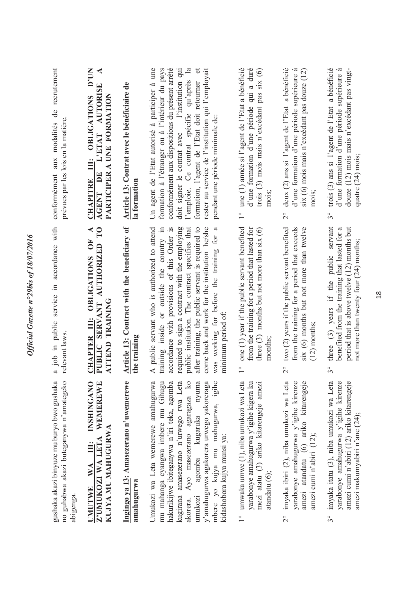| gushaka akazi binyuze mu buryo bwo gushaka<br>no guhabwa akazi buteganywa n'amategeko<br>abigenga.                                                                                                                                                                                                                                                                    | a job in public service in accordance with<br>relevant laws                                                                                                                                                                                                                                                                                                                                                                                         | de recrutement<br>prévues par les lois en la matière.<br>conformément aux modalités                                                                                                                                                                                                                                                                                                                           |
|-----------------------------------------------------------------------------------------------------------------------------------------------------------------------------------------------------------------------------------------------------------------------------------------------------------------------------------------------------------------------|-----------------------------------------------------------------------------------------------------------------------------------------------------------------------------------------------------------------------------------------------------------------------------------------------------------------------------------------------------------------------------------------------------------------------------------------------------|---------------------------------------------------------------------------------------------------------------------------------------------------------------------------------------------------------------------------------------------------------------------------------------------------------------------------------------------------------------------------------------------------------------|
| <b>INSHINGANO</b><br>Z'UMUKOZI WA LETA WEMEREWE<br>KUJYA MU MAHUGURWA<br>Ë<br>WA<br><b>UMUTWE</b>                                                                                                                                                                                                                                                                     | PUBLIC SERVANT AUTHORIZED TO<br>◀<br>OBLIGATIONS OF<br>ATTEND TRAINING<br>Ë<br><b>CHAPTER</b>                                                                                                                                                                                                                                                                                                                                                       | D'UN<br>$\blacktriangleleft$<br><b>AUTORISE</b><br>PARTICIPER A UNE FORMATION<br>OBLIGATIONS<br>L'ETAT<br>Ë<br>DE<br><b>CHAPITRE</b><br>AGENT                                                                                                                                                                                                                                                                 |
| Ingingo ya 13: Amasezerano n'uwemerewe<br>amahugurwa                                                                                                                                                                                                                                                                                                                  | Article 13: Contract with the beneficiary of<br>the training                                                                                                                                                                                                                                                                                                                                                                                        | Article 13: Contrat avec le bénéficiaire de<br>la formation                                                                                                                                                                                                                                                                                                                                                   |
| Umukozi wa Leta wemerewe amahugurwa<br>mu mahanga cyangwa imbere mu Gihugu<br>hakurikijwe ibiteganywa n'iri teka, agomba<br>kugirana amasezerano n'urwego rwa Leta<br>Ayo masezerano agaragaza ko<br>nyuma<br>y'amahugurwa agakorera urwego yakoreraga<br>mbere yo kujya mu mahugurwa, igihe<br>agomba kugaruka<br>kidashobora kujya munsi ya:<br>akorera.<br>umukozi | required to sign a contract with the employing<br>public institution. The contract specifies that<br>come back and work for the institution he/she<br>A public servant who is authorized to attend<br>training inside or outside the country in<br>accordance with provisions of this Order is<br>after training, the public servant is required to<br>$\boldsymbol{\mathfrak{a}}$<br>was working for before the training for<br>minimum period of: | l'emploie. Ce contrat spécifie qu'après la<br>rester au service de l'institution qui l'employait<br>conformément aux dispositions du présent arrêté<br>doit signer le contrat avec l'institution qui<br>$\mathbf{et}$<br>Un agent de l'Etat autorisé à participer à une<br>formation à l'étranger ou à l'intérieur du pays<br>formation, l'agent de l'Etat doit retourner<br>pendant une période minimale de: |
| 1° umwaka umwe (1), niba umukozi wa Leta<br>yarabonye amahugurwa y'igihe kigera ku<br>mezi atatu (3) ariko kitarengeje amezi<br>$atand \text{atu}(6);$                                                                                                                                                                                                                | one (1) year if the public servant benefited<br>three $(3)$ months but not more than six $(6)$<br>from the training for a period that lasted for<br>months<br>$\overset{\circ}{\phantom{0}}$                                                                                                                                                                                                                                                        | une (1) année si l'agent de l'Etat a bénéficié<br>d'une formation d'une période qui a duré<br>trois $(3)$ mois mais n'excédant pas six $(6)$<br>mois<br>$\overset{\circ}{\phantom{0}}$                                                                                                                                                                                                                        |
| 2° imyaka ibiri (2), niba umukozi wa Leta<br>yarabonye amahugurwa y'igihe kirenze<br>amezi atandatu (6) ariko kitarengeje<br>amezi cumi n'abiri $(12)$ ;                                                                                                                                                                                                              | two (2) years if the public servant benefited<br>six (6) months but not more than twelve<br>from the training for a period that exceeds<br>$(12)$ months<br>$\overline{\mathcal{C}}$                                                                                                                                                                                                                                                                | deux (2) ans si l'agent de l'Etat a bénéficié<br>d'une formation d'une période supérieure à<br>six (6) mois mais n'excédant pas douze $(12)$<br>$\frac{1}{2}$                                                                                                                                                                                                                                                 |
| imyaka itatu (3), niba umukozi wa Leta<br>yarabonye amahugurwa y'igihe kirenze<br>amezi cumi n'abiri (12) ariko kitarengeje<br>amezi makumyabiri n'ane (24);<br>$3^{\circ}$                                                                                                                                                                                           | three $(3)$ years if the public servant<br>period that is above twelve (12) months but<br>benefited from the training that lasted for a<br>not more than twenty four (24) months;<br>$3^{\circ}$                                                                                                                                                                                                                                                    | trois (3) ans si l'agent de l'Etat a bénéficié<br>d'une formation d'une période supérieure à<br>douze (12) mois mais n'excédant pas vingt-<br>quatre (24) mois:<br>$3^{\circ}$                                                                                                                                                                                                                                |

Official Gazette n°29bis of 18/07/2016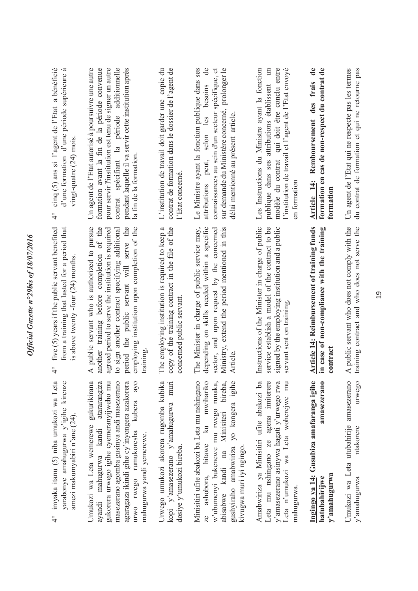| Un agent de l'Etat qui ne respecte pas les termes<br>du contrat de formation et qui ne retourne pas                                                                                                                                                                                             | A public servant who does not comply with the<br>training contract and who does not serve the                                                                                                                                                                                                             | Umukozi wa Leta utubahirije amasezerano<br>urwego<br>ntakorere<br>y'amahugurwa                                                                                                                                                                                                             |
|-------------------------------------------------------------------------------------------------------------------------------------------------------------------------------------------------------------------------------------------------------------------------------------------------|-----------------------------------------------------------------------------------------------------------------------------------------------------------------------------------------------------------------------------------------------------------------------------------------------------------|--------------------------------------------------------------------------------------------------------------------------------------------------------------------------------------------------------------------------------------------------------------------------------------------|
| Article 14: Remboursement des frais de<br>formation en cas de non-respect du contrat de<br>formation                                                                                                                                                                                            | Article 14: Reimbursement of training funds<br>in case of non-compliance with the training<br>contract                                                                                                                                                                                                    | Ingingo ya 14: Gusubiza amafaranga igihe<br>amasezerano<br>y'amahugurwa<br>hatubahirijwe                                                                                                                                                                                                   |
| l'institution de travail et l'agent de l'Etat envoyé<br>Les Instructions du Ministre ayant la fonction<br>$\mathbb{H}$<br>modèle du contrat qui doit être conclu entre<br>publique dans ses attributions établissent<br>en formation                                                            | Instructions of the Minister in charge of public<br>service establish a model of the contract to be<br>signed by the employing institution and a public<br>servant sent on training                                                                                                                       | Amabwiriza ya Minisitiri ufite abakozi ba<br>Leta mu nshingano ze agena imiterere<br>y'amasezerano asinywa hagati y'urwego rwa<br>Leta n'umukozi wa Leta woherejwe mu<br>mahugurwa.                                                                                                        |
| attributions peut, selon les besoins de<br>sur demande du Ministère concerné, prolonger le<br>Le Ministre ayant la fonction publique dans ses<br>connaissances au sein d'un secteur spécifique, et<br>délai mentionné au présent article                                                        | The Minister in charge of public service may,<br>depending on skills needed within a specific<br>sector, and upon request by the concerned<br>Ministry, extend the period mentioned in this<br>Article                                                                                                    | Minisitiri ufite abakozi ba Leta mu nshingano<br>ashobora, hitawe ku mwihariko<br>w'ubumenyi bukenewe mu rwego runaka,<br>abisabwe kandi na Minisiteri bireba,<br>yo kongera igihe<br>gushyiraho amabwiriza<br>kivugwa muri iyi ngingo.                                                    |
| contrat de formation dans le dossier de l'agent de<br>L'institution de travail doit garder une copie du<br>l'Etat concerné                                                                                                                                                                      | copy of the training contract in the file of the<br>The employing institution is required to keep a<br>concerned public servant.                                                                                                                                                                          | Urwego umukozi akorera rugomba kubika<br>kopi y'amasezerano y'amahugurwa muri<br>dosiye y'umukozi bireba.                                                                                                                                                                                  |
| Un agent de l'Etat autorisé à poursuivre une autre<br>formation avant la fin de la période convenue<br>pour servir l'institution est tenu de signer un autre<br>contrat spécifiant la période additionnelle<br>pendant laquelle il va servir cette institution après<br>la fin de la formation. | A public servant who is authorized to pursue<br>another training before completion of the<br>to sign another contract specifying additional<br>period the public servant will serve the<br>employing institution upon completion of the<br>agreed period to serve the institution is required<br>training | Umukozi wa Leta wemerewe gukurikirana<br>ayandi mahugurwa kandi atararangiza<br>gukorera urwego igihe cyemeranyijweho mu<br>masezerano agomba gusinya andi masezerano<br>agaragaza ikindi gihe cy'inyongera azakorera<br>kubera ayo<br>urwo rwego rumukoresha<br>mahugurwa yandi yemerewe. |
| cinq (5) ans si l'agent de l'Etat a bénéficié<br>d'une formation d'une période supérieure à<br>vingt-quatre (24) mois<br>$\frac{1}{4}$                                                                                                                                                          | from a training that lasted for a period that<br>five (5) years if the public servant benefited<br>is above twenty -four (24) months.<br>$\frac{6}{4}$                                                                                                                                                    | imyaka itanu (5) niba umukozi wa Leta<br>yarabonye amahugurwa y'igihe kirenze<br>amezi makumyabiri n'ane (24).<br>$\frac{1}{4}$                                                                                                                                                            |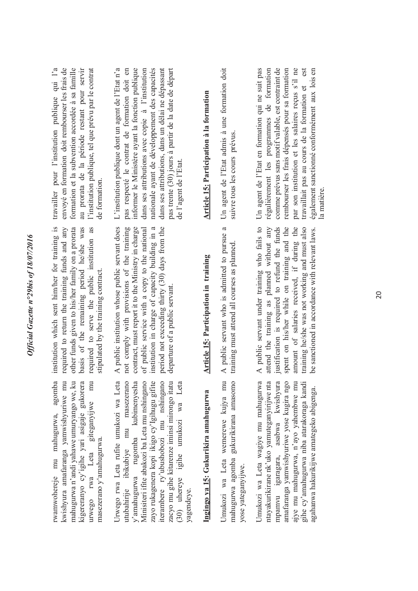20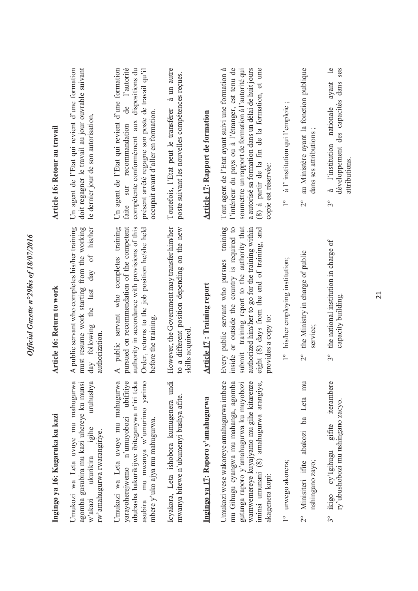| Ingingo ya 16: Kugaruka ku kazi                                                                                                                                                                                                     | <b>Article 16: Return to work</b>                                                                                                                                                                                                                                    | <b>Article 16: Retour au travail</b>                                                                                                                                                                                                                                                       |
|-------------------------------------------------------------------------------------------------------------------------------------------------------------------------------------------------------------------------------------|----------------------------------------------------------------------------------------------------------------------------------------------------------------------------------------------------------------------------------------------------------------------|--------------------------------------------------------------------------------------------------------------------------------------------------------------------------------------------------------------------------------------------------------------------------------------------|
| Umukozi wa Leta uvuye mu mahugurwa<br>agomba gusubira mu kazi uhereye ku munsi<br>uruhushya<br>igihe<br>rw'amahugurwa rwarangiriye.<br>ukurikira<br>w'akazi                                                                         | must resume work starting from the working<br>A public servant who completes his/her training<br>of his/her<br>the last day<br>day following<br>authorization                                                                                                        | Un agent de l'Etat qui revient d'une formation<br>doit regagner le travail au jour ouvrable suivant<br>le dernier jour de son autorisation.                                                                                                                                                |
| Umukozi wa Leta uvuye mu mahugurwa<br>yarayoherejwemo n'umuyobozi ubifitiye<br>ububasha hakurikijwe ibiteganywa n'iri teka<br>asubira mu mwanya w'umurimo yarimo<br>mbere y'uko ajya mu mahugurwa.                                  | A public servant who completes training<br>pursued on recommendation of the competent<br>authority in accordance with provisions of this<br>Order, returns to the job position he/she held<br>before the training.                                                   | Un agent de l'Etat qui revient d'une formation<br>de l'autorité<br>dispositions du<br>présent arrêté regagne son poste de travail qu'il<br>occupait avant d'aller en formation.<br>compétente conformément aux<br>sur recommandation<br>faite                                              |
| Icyakora, Leta ishobora kumugenera undi<br>mwanya bitewe n'ubumenyi bushya afite.                                                                                                                                                   | to a different position depending on the new<br>However, the Government may transfer him/her<br>skills acquired                                                                                                                                                      | Toutefois, l'Etat peut le transférer à un autre<br>poste suivant les nouvelles compétences reçues.                                                                                                                                                                                         |
| Ingingo ya 17: Raporo y'amahugurwa                                                                                                                                                                                                  | <b>Article 17: Training report</b>                                                                                                                                                                                                                                   | <b>Article 17: Rapport de formation</b>                                                                                                                                                                                                                                                    |
| Umukozi wese wakoreye amahugurwa imbere<br>mu Gihugu cyangwa mu mahanga, agomba<br>gutanga raporo y'amahugurwa ku muyobozi<br>wamwemereye kuyajyamo mu gihe kitarenze<br>iminsi umunani (8) amahugurwa arangiye,<br>akagenera kopi: | Every public servant who pursues training<br>inside or outside the country is required to<br>submit training report to the authority that<br>authorized him/her to go for the training within<br>eight (8) days from the end of training, and<br>provides a copy to: | Tout agent de l'Etat ayant suivi une formation à<br>a autorisé sa formation dans un délai de huit jours<br>l'intérieur du pays ou à l'étranger, est tenu de<br>soumettre un rapport de formation à l'autorité qui<br>(8) à partir de la fin de la formation, et une<br>copie est réservée: |
| urwego akorera;<br>$\overline{1}^{\circ}$                                                                                                                                                                                           | 1° his/her employing institution;                                                                                                                                                                                                                                    | à l'institution qui l'emploie;<br>$\overline{1}^{\circ}$                                                                                                                                                                                                                                   |
| abakozi ba Leta mu<br>2° Minisiteri ifite<br>nshingano zayo;                                                                                                                                                                        | the Ministry in charge of public<br>service;<br>$\overline{C}$                                                                                                                                                                                                       | au Ministère ayant la fonction publique<br>dans ses attributions<br>$\frac{1}{2}$                                                                                                                                                                                                          |
| iterambere<br>ry'ubushobozi mu nshingano zacyo.<br>gifite<br>3° ikigo cy'lgihugu                                                                                                                                                    | 3° the national institution in charge of<br>capacity building.                                                                                                                                                                                                       | $\frac{1}{2}$<br>développement des capacités dans ses<br>ayant<br>nationale<br>à l'institution<br>attributions.<br>$3^{\circ}$                                                                                                                                                             |

21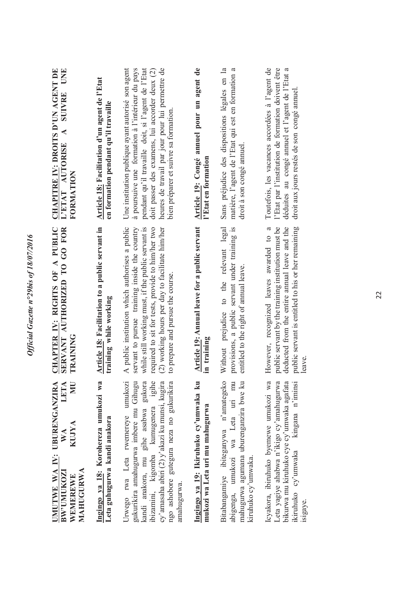| LETA<br><b>NN</b><br>UMUTWE WA IV: UBURENGANZIRA<br><b>KUJYA</b><br>$\mathbb{W} \mathbb{A}$<br>MAHUGURWA<br><b>BW'UMUKOZI</b><br>WEMEREWE                                                                                                                                 | CHAPTER IV: RIGHTS OF A PUBLIC<br>SERVANT AUTHORIZED TO GO FOR<br>TRAINING                                                                                                                                                                                                                         | <b>CHAPITRE IV: DROITS D'UN AGENT DE</b><br>UNE<br><b>SUIVRE</b><br>$\blacktriangle$<br>L'ETAT AUTORISE<br>FORMATION                                                                                                                                                                                      |
|---------------------------------------------------------------------------------------------------------------------------------------------------------------------------------------------------------------------------------------------------------------------------|----------------------------------------------------------------------------------------------------------------------------------------------------------------------------------------------------------------------------------------------------------------------------------------------------|-----------------------------------------------------------------------------------------------------------------------------------------------------------------------------------------------------------------------------------------------------------------------------------------------------------|
| Ingingo ya 18: Korohereza umukozi wa<br>Leta guhugurwa kandi anakora                                                                                                                                                                                                      | Article 18: Facilitation to a public servant in<br>training while working                                                                                                                                                                                                                          | Article 18: Facilitation d'un agent de l'Etat<br>en formation pendant qu'il travaille                                                                                                                                                                                                                     |
| gukurikira amahugurwa imbere mu Gihugu<br>ibizamini, kigomba kumugenera igihe<br>Urwego rwa Leta rwemereye umukozi<br>gukora<br>cy'amasaha abiri (2) y'akazi ku munsi, kugira<br>ngo ashobore gutegura neza no gukurikira<br>kandi anakora, mu gihe asabwa<br>amahugurwa. | A public institution which authorises a public<br>servant to pursue training inside the country<br>while still working must, if the public servant is<br>required to sit for tests, provide to him/her two<br>(2) working hours per day to facilitate him/her<br>to prepare and pursue the course. | Une institution publique ayant autorisé son agent<br>à poursuive une formation à l'intérieur du pays<br>pendant qu'il travaille doit, si l'agent de l'Etat<br>heures de travail par jour pour lui permettre de<br>doit passer des examens, lui accorder deux (2)<br>bien préparer et suivre sa formation. |
| Ingingo ya 19: Ikiruhuko cy'umwaka ku<br>mukozi wa Leta uri mu mahugurwa                                                                                                                                                                                                  | Article 19: Annual leave for a public servant<br>in training                                                                                                                                                                                                                                       | Article 19: Congé annuel pour un agent de<br>l'Etat en formation                                                                                                                                                                                                                                          |
| Bitabangamiye ibiteganywa n'amategeko<br>abigenga, umukozi wa Leta uri mu<br>mahugurwa agumana uburenganzira bwe ku<br>kiruhuko cy'umwaka.                                                                                                                                | to the relevant legal<br>provisions, a public servant under training is<br>entitled to the right of annual leave.<br>Without prejudice                                                                                                                                                             | matière, l'agent de l'Etat qui est en formation a<br>Sans préjudice des dispositions légales en la<br>droit à son congé annuel.                                                                                                                                                                           |
| Icyakora, ibiruhuko byemewe umukozi wa<br>Leta yagiye ahabwa n'ikigo cy'amahugurwa<br>bikurwa mu kiruhuko cye cy'umwaka agafata<br>kingana n'iminsi<br>ikiruhuko cy'umwaka<br>isigaye.                                                                                    | public servant by the training institution must be<br>deducted from the entire annual leave and the<br>public servant is entitled to his or her remaining<br>However, recognized leaves awarded to a<br>leave.                                                                                     | Toutefois, les vacances accordées à l'agent de<br>l'Etat par l'institution de formation doivent être<br>déduites au congé annuel et l'agent de l'Etat a<br>droit aux jours restés de son congé annuel.                                                                                                    |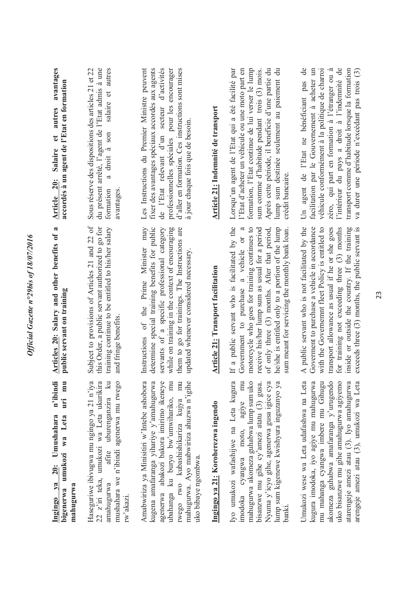| n'ibindi<br>mu<br>Ϊiπ<br>Ingingo ya 20: Umushahara<br>umukozi wa Leta<br>mahugurwa<br>bigenerwa                                                                                                                                                                                                      | Articles 20: Salary and other benefits of a<br>public servant on training                                                                                                                                                                                                                                                                                                                 | avantages<br>accordés à un agent de l'Etat en formation<br>autres<br>$\mathbf{e}$<br><b>Salaire</b><br><b>20:</b><br><b>Article</b>                                                                                                                                                                                                                  |
|------------------------------------------------------------------------------------------------------------------------------------------------------------------------------------------------------------------------------------------------------------------------------------------------------|-------------------------------------------------------------------------------------------------------------------------------------------------------------------------------------------------------------------------------------------------------------------------------------------------------------------------------------------------------------------------------------------|------------------------------------------------------------------------------------------------------------------------------------------------------------------------------------------------------------------------------------------------------------------------------------------------------------------------------------------------------|
| Haseguriwe ibivugwa mu ngingo ya 21 n'iya<br>22 z'iri teka, umukozi wa Leta ukurikira<br>afite uburenganzira ku<br>mushahara we n'ibindi agenerwa mu rwego<br>amahugurwa<br>rw'akazi.                                                                                                                | Subject to provisions of Articles 21 and 22 of<br>this Order, a public servant authorized to go for<br>training continue to be entitled to his/her salary<br>and fringe benefits                                                                                                                                                                                                          | du présent arrêté, l'agent de l'Etat admis à une<br>salaire et autres<br>Sous réserve des dispositions des articles 21 et 22<br>a droit à son<br>formation<br>avantages                                                                                                                                                                              |
| Amabwiriza ya Minisitiri w'Intebe ashobora<br>kugena amafaranga yihariye y'amahugurwa<br>agenerwa abakozi bakora imirimo ikeneye<br>ubahanga ku buryo bw'umwihariko, mu<br>rwego rwo kubashishikariza kujya mu<br>mahugurwa. Ayo mabwiriza ahuzwa n'igihe<br>uko bibaye ngombwa.                     | determine special training benefits for public<br>servants of a specific professional category<br>them to go for trainings. The Instructions are<br>Instructions of the Prime Minister may<br>while on training in the context of encouraging<br>updated whenever considered necessary.                                                                                                   | Les Instructions du Premier Ministre peuvent<br>fixer des avantages spéciaux accordés aux agents<br>de l'Etat relevant d'un secteur d'activités<br>d'aller en formation. Ces instructions sont mises<br>professionnelles spéciales pour les encourager<br>à jour chaque fois que de besoin.                                                          |
| Ingingo ya 21: Koroherezwa ingendo                                                                                                                                                                                                                                                                   | Article 21: Transport facilitation                                                                                                                                                                                                                                                                                                                                                        | Article 21: Indemnité de transport                                                                                                                                                                                                                                                                                                                   |
| Iyo umukozi wafashijwe na Leta kugura<br>agiye mu<br>mahugurwa akomeza guhabwa lump sum uko<br>bisanzwe mu gihe cy'amezi atatu $(3)$ gusa.<br>Nyuma y'icyo gihe, agenerwa gusa igice cya<br>lump sum kigenewe kwishyura inguzanyo ya<br>imodoka cyangwa moto,<br>bankı                               | If a public servant who is facilitated by the<br>of only three (3) months. After that period,<br>$\mathfrak{a}$<br>motorcycle who goes for training continues to<br>he/she is entitled only to a portion of the lump<br>receive his/her lump sum as usual for a period<br>sum meant for servicing the monthly bank loan.<br>$\overline{\text{or}}$<br>a vehicle<br>Government to purchase | Après cette période, il beneficie d'une partie du<br>l'Etat d'acheter un véhicule ou une moto part en<br>formation, l'Etat continue de lui verser le lump<br>Lorsqu'un agent de l'Etat qui a été facilité par<br>lump sum destinée seulement au paiement du<br>sum comme d'habitude pendant trois (3) mois.<br>crédit bancaire                       |
| Umukozi wese wa Leta udafashwa na Leta<br>kugura imodoka, iyo agiye mu mahugurwa<br>mu mahanga cyangwa imbere mu Gihugu<br>akomeza guhabwa amafaranga y`urugendo<br>uko bisanzwe mu gihe amahugurwa agiyemo<br>atarengeje amezi atau (3). Iyo amahugurwa<br>arengeje amezi atau (3), umukozi wa Leta | A public servant who is not facilitated by the<br>Goverment to purchase a vehicle in accordance<br>with the Governemnt fleet Policy is entitled to<br>for training not exceeding three (3) months<br>inside or outside the country. If the training<br>exceeds three (3) months, the public servant is<br>transport allowance as usual if he or she goes                                  | de<br>l'intérieur du pays a droit à l'indemnité de<br>facilitation par le Gouvernement à acheter un<br>véhicule conformément à la politique de charroi<br>zéro, qui part en formation à l'étranger ou à<br>transport comme d'habitude lorsque la formation<br>va durer une période n'excédant pas trois (3)<br>Un agent de l'Etat ne bénéficiant pas |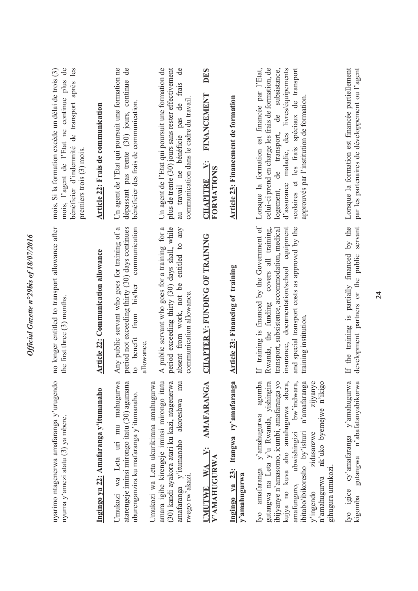| mois, l'agent de l'Etat ne continue plus de<br>bénéficier d'indemnité de transport après les<br>mois. Si la formation excède un délai de trois (3)<br>premiers trois (3) mois. | Article 22: Frais de communication         | Un agent de l'Etat qui poursuit une formation ne<br>dépassant pas trente (30) jours, continue de<br>bénéficier des frais de communication.                   | Un agent de l'Etat qui poursuit une formation de<br>$\mathsf{d}\mathsf{e}$<br>plus de trente (30) jours sans rester effectivement<br>au travail ne bénéficie pas de frais<br>communication dans le cadre du travail | DES<br>FINANCEMENT<br>CHAPITRE V:<br>FORMATIONS<br><b>CHAPITRE</b> | Article 23: Financement de formation                 | Lorsque la formation est financée par l'Etat,<br>celui-ci prend en charge les frais de formation, de<br>d'assurance maladie, des livres/équipements<br>scolaires et les frais spéciaux de transport<br>logement, de transport, de subsistance,<br>approuvés par l'institution de formation                                                                              | Lorsque la formation est financée partiellement<br>par les partenaires de développement ou l'agent |
|--------------------------------------------------------------------------------------------------------------------------------------------------------------------------------|--------------------------------------------|--------------------------------------------------------------------------------------------------------------------------------------------------------------|---------------------------------------------------------------------------------------------------------------------------------------------------------------------------------------------------------------------|--------------------------------------------------------------------|------------------------------------------------------|-------------------------------------------------------------------------------------------------------------------------------------------------------------------------------------------------------------------------------------------------------------------------------------------------------------------------------------------------------------------------|----------------------------------------------------------------------------------------------------|
| no longer entitled to transport allowance after<br>the first three (3) months.                                                                                                 | <b>Article 22: Communication allowance</b> | Any public servant who goes for training of a<br>period not exceeding thirty (30) days continues<br>communication<br>from his/her<br>to benefit<br>allowance | period exceeding thirty (30) days shall, while<br>A public servant who goes for a training for a<br>entitled to any<br>absent from work, not be<br>communication allowance.                                         | <b>CHAPTER V: FUNDING OF TRAINING</b>                              | Article 23: Financing of training                    | If training is financed by the Government of<br>insurance, documentation/school equipment<br>and special transport costs as approved by the<br>transport, subsistence, accommodation, medical<br>Rwanda, the funding covers all training,<br>training institution                                                                                                       | If the training is partially financed by the<br>development partners or the public servant         |
| uyarimo ntagenerwa amafaranga y'urugendo<br>nyuma y'amezi atatu (3) ya mbere.                                                                                                  | Ingingo ya 22: Amafaranga y'itumanaho      | Umukozi wa Leta uri mu mahugurwa<br>atarengeje iminsi mirongo itatu (30) agumana<br>uburenganzira ku mafaranga y'itumanaho.                                  | Umukozi wa Leta ukurikirana amahugurwa<br>amara igihe kirengeje iminsi mirongo itatu<br>(30) kandi ayakora atari ku kazi, ntagenerwa<br>mu<br>amafaranga y'itumanaho akoreshwa<br>rwego rw'akazi.                   | <b>AMAFARANGA</b><br>UMUTWE WA V:<br>Y'AMAHUGURWA                  | Ingingo ya 23: Itangwa ry'amafaranga<br>y'amahugurwa | agomba<br>gutangwa na Leta y'u Rwanda, yishingira<br>ibijyanye n'amasomo, icumbi, amafaranga yo<br>kujya no kuva aho amahugurwa abera,<br>bw'indwara,<br>n'amafaranga<br>zijyanye<br>nk'uko byemejwe n'ikigo<br>Iyo amafaranga y'amahugurwa<br>amafunguro, ubwishingizi<br>ibitabo/ibikoresho by'ishuri<br>zidasanzwe<br>gihugura umukozi.<br>n'amahugurwa<br>y'ingendo | Iyo igice cy'amafaranga y'amahugurwa<br>n'abafatanyabikorwa<br>gutangwa<br>kigomba                 |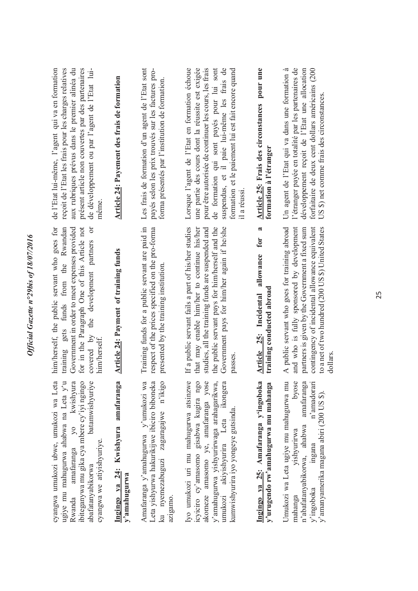| cyangwa umukozi ubwe, umukozi wa Leta                                                                                                                                                                                                            | him/herself, the public servant who goes for                                                                                                                                                                                                                        | de l'Etat lui-même, l'agent qui va en formation                                                                                                                                                                                                                                                                             |
|--------------------------------------------------------------------------------------------------------------------------------------------------------------------------------------------------------------------------------------------------|---------------------------------------------------------------------------------------------------------------------------------------------------------------------------------------------------------------------------------------------------------------------|-----------------------------------------------------------------------------------------------------------------------------------------------------------------------------------------------------------------------------------------------------------------------------------------------------------------------------|
| ibiteganywa mu gika cya mbere cy'iyi ngingo<br>ugiye mu mahugurwa ahabwa na Leta y'u<br>Rwanda amafaranga yo kwishyura<br>batamwishyuriye<br>cyangwa we atiyishyuriye.<br>abafatanyabikorwa                                                      | for in the Paragraph One of this Article not<br>funds from the Rwandan<br>Government in order to meet expenses provided<br>ð<br>development partners<br>the<br>training gets<br>covered by<br>him/herself                                                           | reçoit de l'Etat les frais pour les charges relatives<br>aux rubriques prévus dans le premier alinéa du<br>de développement ou par l'agent de l'Etat lui-<br>présent article non couvertes par des partenaires<br>meme                                                                                                      |
| Ingingo ya 24: Kwishyura amafaranga<br>y'amahugurwa                                                                                                                                                                                              | Article 24: Payment of training funds                                                                                                                                                                                                                               | Article 24: Payement des frais de formation                                                                                                                                                                                                                                                                                 |
| Leta yishyurwa hakurikijwe ibiciro biboneka<br>Amafaranga y'amahugurwa y'umukozi wa<br>ku nyemezabuguzi zagaragajwe n'ikigo<br>azigamo.                                                                                                          | Training funds for a public servant are paid in<br>respect of the prices specified on the pro-forma<br>presented by the training institution                                                                                                                        | Les frais de formation d'un agent de l'Etat sont<br>payés selon les prix trouvés sur les factures pro-<br>forma présentés par l'institution de formation.                                                                                                                                                                   |
| akomeze amasomo ye, amafaranga yose<br>Iyo umukozi uri mu mahugurwa atsinzwe<br>icyiciro cy'amasomo gisabwa kugira ngo<br>y'amahugurwa yishyurirwaga arahagarikwa,<br>umukozi akiyishyurira Leta ikongera<br>kumwishyurira iyo yongeye gutsinda. | If a public servant fails a part of his/her studies<br>the public servant pays for him/herself and the<br>Government pays for him/her again if he/she<br>that may enable him/her to continue his/her<br>studies, all the training funds are suspended and<br>passes | pour être autorisée de continuer les cours, les frais<br>de formation qui sont payés pour lui sont<br>Lorsque l'agent de l'Etat en formation échoue<br>une partie des cours dont la réussite est exigée<br>suspendus, et il paie lui-même les frais de<br>formation et le paiement lui est fait encore quand<br>il a réussi |
| Ingingo ya 25: Amafaranga y'ingoboka<br>y'urugendo rw'amahugurwa mu mahanga                                                                                                                                                                      | ಷ<br>for<br>allowance<br>training conducted abroad<br>Article 25: Incidental                                                                                                                                                                                        | pour une<br>Article 25: Frais des circonstances<br>formation à l'étranger                                                                                                                                                                                                                                                   |
| Umukozi wa Leta ugiye mu mahugurwa mu<br>byose<br>n'amadorari<br>amafaranga<br>y'amanyamerika magana abiri (200 US \$).<br>n'abafatanyabikorwa, ahabwa<br>yıshyurirwa<br>mgana<br>y'ingoboka<br>mahanga                                          | A public servant who goes for training abroad<br>and who is fully sponsored by development<br>to a net of two hundred (200 US \$) United States<br>partners is given by the Government a fixed sum<br>contingency of incidental allowance equivalent<br>dollars     | l'étranger payée en totalité par les partenaires de<br>Un agent de l'Etat qui va dans une formation à<br>développement reçoit de l'Etat une allocation<br>forfaitaire de deux cent dollars américains (200<br>US \$) net comme frais des circonstances                                                                      |

25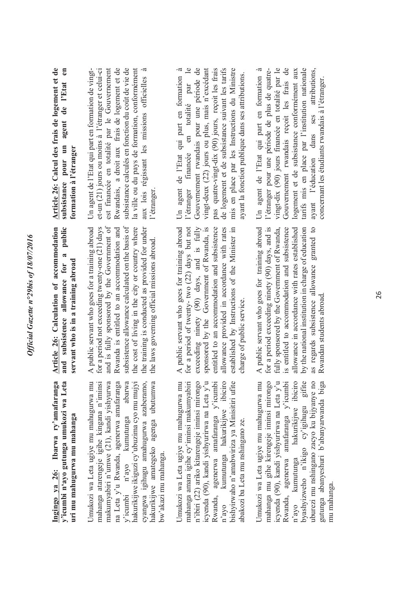y'icumbi n'ayo gutunga umukozi wa Leta Ibarwa ry'amafaranga **Ingingo ya 26: Ibarwa ry'amafaranga y'icumbi n'ayo gutunga umukozi wa Leta uri mu mahugurwa mu mahanga**  uri mu mahugurwa mu mahanga Ingingo va 26:

Umukozi wa Leta ugiye mu mahugurwa mu Umukozi wa Leta ugiye mu mahugurwa mu mahanga atarengeje igihe kingana n'iminsi makumyabiri n'umwe (21), kandi yishyurwa na Leta y'u Rwanda, agenerwa amafaranga y'icumbi n'ayo kumutunga abarwa hakurikijwe ikiguzi cy'ubuzima cyo mu mujyi hakurikijwe ikiguzi cy'ubuzima cyo mu mujyi cyangwa igihugu amahugurwa azaberamo, hakurikijwe amategeko agenga ubutumwa hakurikijwe amategeko agenga ubutumwa nakumyabiri n'umwe (21), kandi yishyurwa na Leta y'u Rwanda, agenerwa amafaranga kumutunga abarwa cyangwa igihugu amahugurwa azaberamo, mahanga atarengeje igihe kingana n'iminsi bw'akazi mu mahanga. bw'akazi mu mahanga. y'icumbi n'ayo

Jmukozi wa Leta ugiye mu mahugurwa mu Umukozi wa Leta ugiye mu mahugurwa mu mahanga amara igihe cy'iminsi makumyabiri n'ibiri (22) ariko kitarengeje iminsi mirongo icyenda (90), kandi yishyurirwa na Leta y'u Rwanda, agenerwa amafaranga y'icumbi kumutunga hakurikijwe ibiciro n'ayo kumutunga hakurikijwe ibiciro bishyirwaho n'amabwiriza ya Minisitiri ufite bishyirwaho n'amabwiriza ya Minisitiri ufite n'ibiri (22) ariko kitarengeje iminsi mirongo cyenda (90), kandi yishyurirwa na Leta y'u mahanga amara igihe cy'iminsi makumyabiri Rwanda, agenerwa amafaranga y'icumbi abakozi ba Leta mu nshingano ze. abakozi ba Leta mu nshingano ze.  $n'$ avo

Umukozi wa Leta ugiye mu mahugurwa mu mahanga mu gihe kirengeje iminsi mirongo icyenda (90), kandi yishyurirwa na Leta y'u Rwanda, agenerwa amafaranga y'icumbi hakurikijwe ibiciro n'ayo kumutunga hakurikijwe ibiciro byashyizweho n'ikigo cy'igihugu gifite byashyizweho n'ikigo cy'igihugu gifite uburezi mu nshingano zacyo ku bijyanye no uburezi mu nshingano zacyo ku bijyanye no gutunga abanyeshuri b'abanyarwanda biga gutunga abanyeshuri b'abanyarwanda biga mahanga mu gihe kirengeje iminsi mirongo cyenda (90), kandi yishyurirwa na Leta y'u Umukozi wa Leta ugiye mu mahugurwa mu Rwanda, agenerwa amafaranga y'icumbi kumutunga mu mahanga. mu mahanga  $n'$ ayo

Article 26: Calculation of accommodation **Article 26: Calculation of accommodation**  and subsistence allowance for a public **and subsistence allowance for a public**  servant who is in a training abroad **servant who is in a training abroad** A public servant who goes for a training abroad for a period not exceeding twenty-one (21) days and is fully sponsored by the Government of subsistence allowance calculated on the basis of the cost of living in the city or country where A public servant who goes for a training abroad for a period not exceeding twenty-one (21) days and is fully sponsored by the Government of Rwanda is entitled to an accommodation and Rwanda is entitled to an accommodation and subsistence allowance calculated on the basis of the cost of living in the city or country where the training is conducted as provided for under the training is conducted as provided for under the laws governing official missions abroad. the laws governing official missions abroad. A public servant who goes for training abroad for a period of twenty-two (22) days but not exceeding ninety (90) days, and is fully allowance provided in accordance with rates A public servant who goes for training abroad for a period of twenty- two (22) days but not exceeding ninety  $(90)$  days, and is fully sponsored by the Government of Rwanda, is sponsored by the Government of Rwanda, is entitled to an accommodation and subsistence entitled to an accommodation and subsistence allowance provided in accordance with rates established by Instructions of the Minister in established by Instructions of the Minister in charge of public service. charge of public service.

A public servant who goes for training abroad for a period exceeding ninety (90) days, and is A public servant who goes for training abroad for a period exceeding ninety (90) days, and is fully sponsored by the Government of Rwanda, is entitled to accommodation and subsistence is entitled to accommodation and subsistence allowance in accordance with rates established allowance in accordance with rates established by the national institution in charge of education by the national institution in charge of education as regards subsistence allowance granted to as regards subsistence allowance granted to fully sponsored by the Government of Rwanda, Rwandan students abroad. Rwandan students abroad.

**Article 26: Calcul des frais de logement et de**  Article 26: Calcul des frais de logement et de **subsistance pour un agent de l'Etat en**  subsistance pour un agent de l'Etat en **formation à l'étranger**  formation à l'étranger

Un agent de l'Etat qui part en formation de vingt-<br>et-un (21) jours ou moins à l'étranger et celui-ci Rwandais, a droit aux frais de logement et de est financée en totalité par le Gouvernement Rwandais, a droit aux frais de logement et de subsistance calculés en fonction du coût de vie de subsistance calculés en fonction du coût de vie de la ville ou du pays de formation, conformément la ville ou du pays de formation, conformément aux lois régissant les missions officielles à aux lois régissant les missions officielles à Un agent de l'Etat qui part en formation de vingtet-un (21) jours ou moins à l'étranger et celui-ci est financée en totalité par le Gouvernement l'étranger. Un agent de l'Etat qui part en formation à Un agent de l'Etat qui part en formation à l'étranger financée en totalité par le Gouvernement rwandais pour une période de vingt-deux (22) jours ou plus, mais n'excédant pas quatre-vingt-dix (90) jours, reçoit les frais pas quatre-vingt-dix (90) jours, reçoit les frais de logement et de subsistance suivant les tarifs de logement et de subsistance suivant les tarifs mis en place par les Instructions du Ministre mis en place par les Instructions du Ministre Gouvernement rwandais pour une période de vingt-deux (22) jours ou plus, mais n'excédant ayant la fonction publique dans ses attributions. ayant la fonction publique dans ses attributions. en totalité par l'étranger financée

ayant l'éducation dans ses attributions, Un agent de l'Etat qui part en formation à Un agent de l'Etat qui part en formation à l'étranger pour une période de plus de quatrel'étranger pour une période de plus de quatre- vingt-dix (90) jours financée en totalité par le vingt-dix (90) jours financée en totalité par le Gouvernement rwandais reçoit les frais de Gouvernement rwandais reçoit les frais de logement et de subsistance conformément aux logement et de subsistance conformément aux tarifs mis en place par l'institution nationale tarifs mis en place par l'institution nationale ses attributions, concernant les étudiants rwandais à l'étranger. concernant les étudiants rwandais à l'étranger.dans ayant l'éducation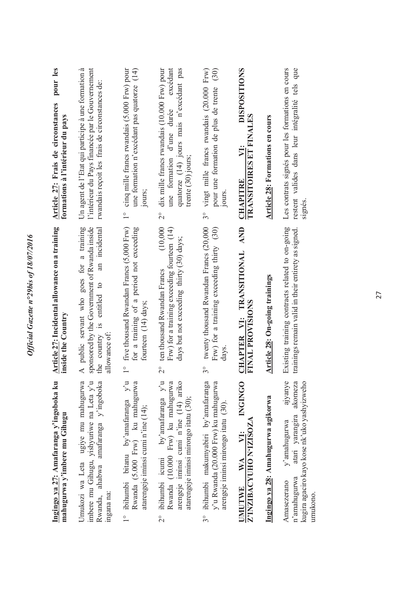| Ingingo ya 27: Amafaranga y'ingoboka ku<br>mahugurwa y'imbere mu Gihugu                                                                                              | Article 27: Incidental allowance on a training<br>inside the Country                                                                                           | pour les<br>Article 27: Frais de circonstances<br>formations à l'intérieur du pays                                                                                               |
|----------------------------------------------------------------------------------------------------------------------------------------------------------------------|----------------------------------------------------------------------------------------------------------------------------------------------------------------|----------------------------------------------------------------------------------------------------------------------------------------------------------------------------------|
| Umukozi wa Leta ugiye mu mahugurwa<br>imbere mu Gihugu, yishyuriwe na Leta y'u<br>ahabwa amafaranga y'ingoboka<br>Rwanda,<br>ingana na:                              | sponsored by the Government of Rwanda inside<br>A public servant who goes for a training<br>an incidental<br>the country is entitled to<br>allowance of:       | l'intérieur du Pays financée par le Gouvernement<br>Un agent de l'Etat qui participe à une formation à<br>rwandais reçoit les frais de circonstances de:                         |
| 1° ibihumbi bitanu by'amafaranga y'u Rwanda (5.000 Frw) ku mahugurwa<br>atarengeje iminsi cumi n'ine (14);                                                           | five thousand Rwandan Francs (5,000 Frw)<br>for a training of a period not exceeding<br>fourteen (14) days;<br>$\frac{1}{1}$                                   | une formation n'excédant pas quatorze (14)<br>cinq mille francs rwandais (5.000 Frw) pour<br>jours;<br>$\frac{1}{1}$                                                             |
| ibihumbi icumi by'amafaranga y'u Rwanda (10.000 Frw) ku mahugurwa<br>arengeje iminsi cumi n'ine (14) ariko<br>atarengeje iminsi mirongo itatu (30);<br>$\frac{1}{2}$ | (10,000)<br>Frw) for a training exceeding fourteen (14)<br>days but not exceeding thirty (30) days;<br>ten thousand Rwandan Francs<br>$\overline{\mathcal{C}}$ | dix mille francs rwandais (10.000 Frw) pour<br>excédant<br>quatorze (14) jours mais n'excédant pas<br>une formation d'une durée<br>trente (30) jours;<br>$\overset{\circ}{\sim}$ |
| ibihumbi makumyabiri by'amafaranga<br>y'u Rwanda (20.000 Frw) ku mahugurwa<br>arengeje iminsi mirongo itatu (30).<br>$3^\circ$                                       | twenty thousand Rwandan Francs (20,000<br>Frw) for a training exceeding thirty $(30)$<br>days.<br>$\mathcal{S}^{\circ}$                                        | vingt mille francs rwandais (20.000 Frw)<br>(30)<br>pour une formation de plus de trente<br>jours.<br>$3^{\circ}$                                                                |
| <b>CONGINGO</b><br>Z'INZIBACYUHO N'IZISOZA<br>$\mathbb{W}^{\mathcal{A}}$<br><b>JMUTWE</b>                                                                            | AND<br>CHAPTER VI: TRANSITIONAL<br>FINAL PROVISIONS                                                                                                            | <b>DISPOSITIONS</b><br>TRANSITOIRES ET FINALES<br>$\ddot{\Sigma}$<br><b>CHAPITRE</b>                                                                                             |
| Ingingo ya 28: Amahugurwa agikorwa                                                                                                                                   | Article 28: On-going trainings                                                                                                                                 | Article 28: Formations en cours                                                                                                                                                  |
| ajyanye<br>atari yarangira akomeza<br>kugira agaciro kayo kose nk'uko yashyizweho<br>y'amahugurwa<br>n'amahugurwa<br>Amasezerano<br>umukono.                         | Existing training contracts related to on-going<br>trainings remain valid in their entirety as signed.                                                         | Les contrats signés pour les formations en cours<br>restent valides dans leur intégralité tels que<br>signés.                                                                    |
|                                                                                                                                                                      |                                                                                                                                                                |                                                                                                                                                                                  |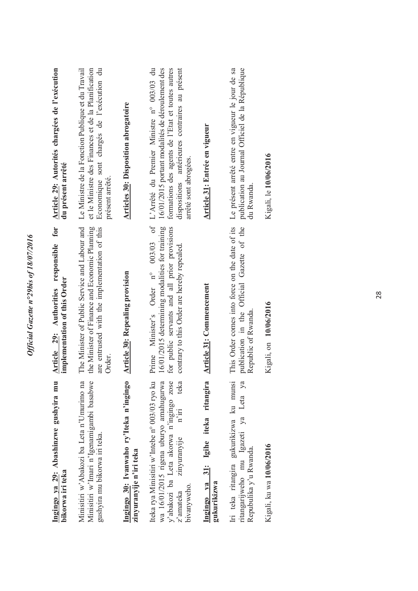| Ingingo ya 29: Abashinzwe gushyira mu<br>bikorwa iri teka                                                                                                                                           | for<br>Article 29: Authorities responsible<br>implementation of this Order                                                                                                           | Article 29: Autorités chargées de l'exécution<br>du présent arrêté                                                                                                                                                          |
|-----------------------------------------------------------------------------------------------------------------------------------------------------------------------------------------------------|--------------------------------------------------------------------------------------------------------------------------------------------------------------------------------------|-----------------------------------------------------------------------------------------------------------------------------------------------------------------------------------------------------------------------------|
| Minisitiri w'Abakozi ba Leta n'Umurimo na<br>Minisitiri w'Imari n'Igenamigambi basabwe<br>gushyira mu bikorwa iri teka.                                                                             | The Minister of Public Service and Labour and<br>the Minister of Finance and Economic Planning<br>are entrusted with the implementation of this<br>Order.                            | Le Ministre de la Fonction Publique et du Travail<br>Economique sont chargés de l'exécution du<br>et le Ministre des Finances et de la Planification<br>présent arrêté.                                                     |
| Ingingo 30: Ivanwaho ry'Iteka n'ingingo<br>zinyuranyije n'iri teka                                                                                                                                  | <b>Article 30: Repealing provision</b>                                                                                                                                               | <b>Articles 30: Disposition abrogatoire</b>                                                                                                                                                                                 |
| Iteka rya Minisitiri w'Intebe n° 003/03 ryo ku<br>y'abakozi ba Leta akorwa n'ingingo zose<br>wa 16/01/2015 rigena uburyo amahugurwa<br>teka<br>$n'$ iri<br>zinyuranyije<br>bivanyweho.<br>z'amateka | Prime Minister's Order n° 003/03 of<br>16/01/2015 determining modalities for training<br>for public servants and all prior provisions<br>contrary to this Order are hereby repealed. | 16/01/2015 portant modalités de déroulement des<br>formations des agents de l'Etat et toutes autres<br>dispositions antérieures contraires au présent<br>L'Arrêté du Premier Ministre n° 003/03 du<br>arrêté sont abrogées. |
| Igihe iteka ritangira<br>Ingingo ya 31:<br>gukurikizwa                                                                                                                                              | Article 31: Commencement                                                                                                                                                             | Article 31: Entrée en vigueur                                                                                                                                                                                               |
| ritangarijweho mu Igazeti ya Leta ya<br>Iri teka ritangira gukurikizwa ku munsi<br>Repubulika y'u Rwanda.                                                                                           | This Order comes into force on the date of its<br>publication in the Official Gazette of the<br>Republic of Rwanda.                                                                  | publication au Journal Officiel de la République<br>Le présent arrêté entre en vigueur le jour de sa<br>du Rwanda.                                                                                                          |
| Kigali, ku wa 10/06/2016                                                                                                                                                                            | Kigali, on 10/06/2016                                                                                                                                                                | Kigali, le 10/06/2016                                                                                                                                                                                                       |
|                                                                                                                                                                                                     |                                                                                                                                                                                      |                                                                                                                                                                                                                             |